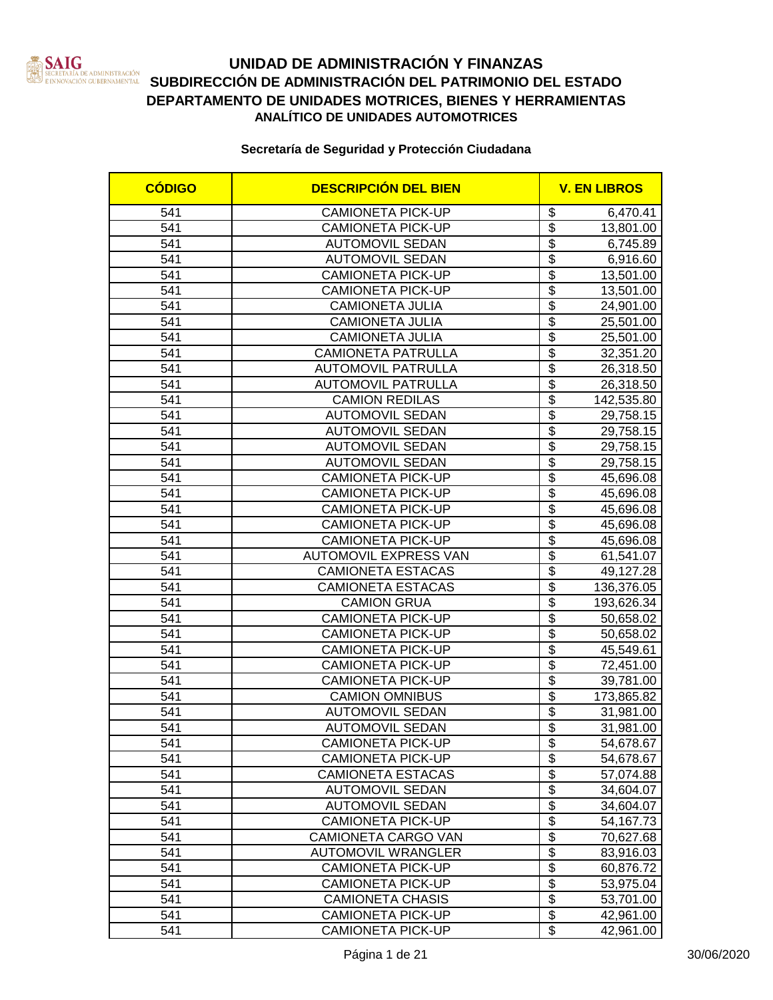

### **UNIDAD DE ADMINISTRACIÓN Y FINANZAS** SERETARIA DE ADMINISTRACIÓN<br>EINNOVACIÓN GUBERNAMENTAL SUBDIRECCIÓN DE ADMINISTRACIÓN DEL PATRIMONIO DEL ESTADO **DEPARTAMENTO DE UNIDADES MOTRICES, BIENES Y HERRAMIENTAS ANALÍTICO DE UNIDADES AUTOMOTRICES**

| <b>CÓDIGO</b>    | <b>DESCRIPCIÓN DEL BIEN</b>  | <b>V. EN LIBROS</b>       |            |
|------------------|------------------------------|---------------------------|------------|
| 541              | <b>CAMIONETA PICK-UP</b>     | \$                        | 6,470.41   |
| 541              | <b>CAMIONETA PICK-UP</b>     | $\overline{\mathbf{S}}$   | 13,801.00  |
| 541              | <b>AUTOMOVIL SEDAN</b>       | $\overline{\$}$           | 6,745.89   |
| 541              | <b>AUTOMOVIL SEDAN</b>       | $\overline{\$}$           | 6,916.60   |
| 541              | <b>CAMIONETA PICK-UP</b>     | $\overline{\$}$           | 13,501.00  |
| 541              | <b>CAMIONETA PICK-UP</b>     | $\overline{\$}$           | 13,501.00  |
| 541              | <b>CAMIONETA JULIA</b>       | $\overline{\$}$           | 24,901.00  |
| 541              | <b>CAMIONETA JULIA</b>       | $\overline{\$}$           | 25,501.00  |
| $\overline{541}$ | <b>CAMIONETA JULIA</b>       | $\overline{\$}$           | 25,501.00  |
| 541              | <b>CAMIONETA PATRULLA</b>    | $\overline{\$}$           | 32,351.20  |
| 541              | <b>AUTOMOVIL PATRULLA</b>    | $\overline{\$}$           | 26,318.50  |
| 541              | <b>AUTOMOVIL PATRULLA</b>    | $\overline{\$}$           | 26,318.50  |
| 541              | <b>CAMION REDILAS</b>        | $\overline{\$}$           | 142,535.80 |
| 541              | <b>AUTOMOVIL SEDAN</b>       | \$                        | 29,758.15  |
| 541              | <b>AUTOMOVIL SEDAN</b>       | $\overline{\$}$           | 29,758.15  |
| 541              | <b>AUTOMOVIL SEDAN</b>       | $\overline{\mathbf{S}}$   | 29,758.15  |
| 541              | <b>AUTOMOVIL SEDAN</b>       | $\overline{\$}$           | 29,758.15  |
| 541              | <b>CAMIONETA PICK-UP</b>     | $\overline{\$}$           | 45,696.08  |
| 541              | <b>CAMIONETA PICK-UP</b>     | \$                        | 45,696.08  |
| 541              | <b>CAMIONETA PICK-UP</b>     | $\overline{\mathbf{S}}$   | 45,696.08  |
| 541              | <b>CAMIONETA PICK-UP</b>     | $\overline{\$}$           | 45,696.08  |
| 541              | <b>CAMIONETA PICK-UP</b>     | $\overline{\$}$           | 45,696.08  |
| 541              | <b>AUTOMOVIL EXPRESS VAN</b> | $\overline{\$}$           | 61,541.07  |
| 541              | <b>CAMIONETA ESTACAS</b>     | $\overline{\mathcal{S}}$  | 49,127.28  |
| 541              | <b>CAMIONETA ESTACAS</b>     | $\overline{\$}$           | 136,376.05 |
| 541              | <b>CAMION GRUA</b>           | $\overline{\$}$           | 193,626.34 |
| 541              | <b>CAMIONETA PICK-UP</b>     | $\overline{\$}$           | 50,658.02  |
| 541              | <b>CAMIONETA PICK-UP</b>     | $\overline{\$}$           | 50,658.02  |
| 541              | <b>CAMIONETA PICK-UP</b>     | $\overline{\$}$           | 45,549.61  |
| 541              | <b>CAMIONETA PICK-UP</b>     | $\overline{\$}$           | 72,451.00  |
| 541              | <b>CAMIONETA PICK-UP</b>     | $\overline{\$}$           | 39,781.00  |
| 541              | <b>CAMION OMNIBUS</b>        | $\overline{\$}$           | 173,865.82 |
| 541              | <b>AUTOMOVIL SEDAN</b>       | \$                        | 31,981.00  |
| 541              | <b>AUTOMOVIL SEDAN</b>       | $\overline{\$}$           | 31,981.00  |
| 541              | <b>CAMIONETA PICK-UP</b>     | \$                        | 54,678.67  |
| 541              | <b>CAMIONETA PICK-UP</b>     | \$                        | 54,678.67  |
| 541              | <b>CAMIONETA ESTACAS</b>     | \$                        | 57,074.88  |
| 541              | <b>AUTOMOVIL SEDAN</b>       | $\overline{\$}$           | 34,604.07  |
| 541              | <b>AUTOMOVIL SEDAN</b>       | $\overline{\$}$           | 34,604.07  |
| 541              | <b>CAMIONETA PICK-UP</b>     | $\overline{\mathbf{S}}$   | 54,167.73  |
| 541              | <b>CAMIONETA CARGO VAN</b>   | \$                        | 70,627.68  |
| 541              | <b>AUTOMOVIL WRANGLER</b>    | $\overline{\mathbf{S}}$   | 83,916.03  |
| 541              | <b>CAMIONETA PICK-UP</b>     | \$                        | 60,876.72  |
| 541              | <b>CAMIONETA PICK-UP</b>     | \$                        | 53,975.04  |
| 541              | <b>CAMIONETA CHASIS</b>      | $\overline{\mathfrak{s}}$ | 53,701.00  |
| 541              | <b>CAMIONETA PICK-UP</b>     | $\overline{\$}$           | 42,961.00  |
| 541              | <b>CAMIONETA PICK-UP</b>     | $\overline{\$}$           | 42,961.00  |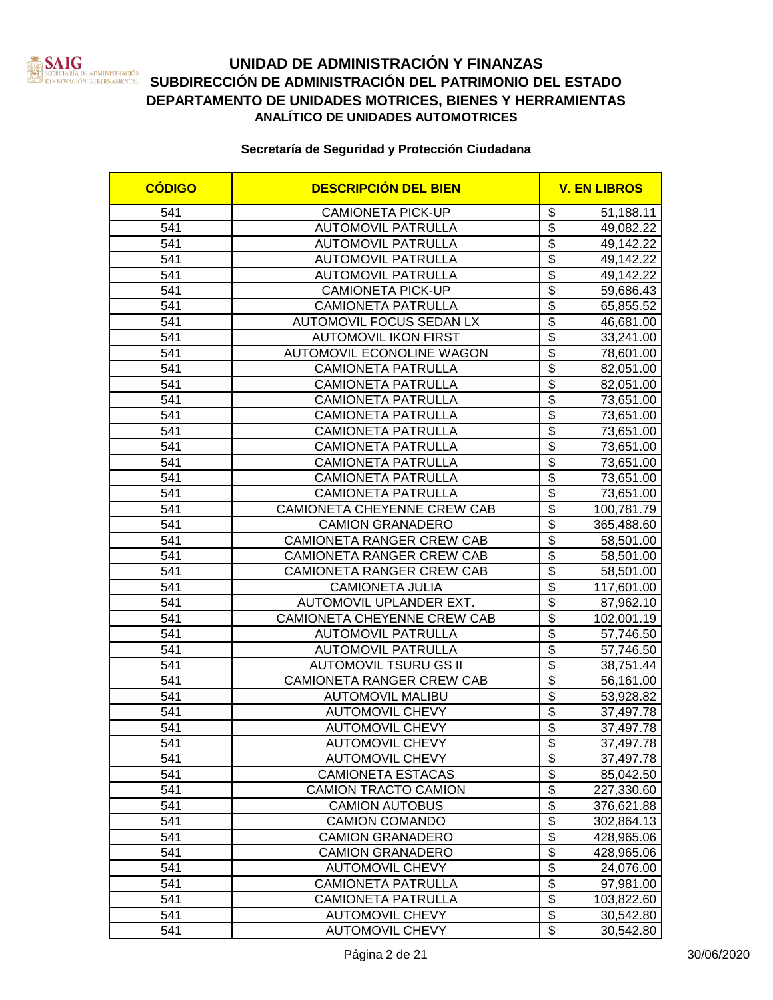

### **UNIDAD DE ADMINISTRACIÓN Y FINANZAS** SERETARIA DE ADMINISTRACIÓN<br>EINNOVACIÓN GUBERNAMENTAL SUBDIRECCIÓN DE ADMINISTRACIÓN DEL PATRIMONIO DEL ESTADO **DEPARTAMENTO DE UNIDADES MOTRICES, BIENES Y HERRAMIENTAS ANALÍTICO DE UNIDADES AUTOMOTRICES**

| <b>CÓDIGO</b> | <b>DESCRIPCIÓN DEL BIEN</b>      |                                             | <b>V. EN LIBROS</b> |  |
|---------------|----------------------------------|---------------------------------------------|---------------------|--|
| 541           | <b>CAMIONETA PICK-UP</b>         | \$                                          | 51,188.11           |  |
| 541           | <b>AUTOMOVIL PATRULLA</b>        | $\overline{\mathbf{S}}$                     | 49,082.22           |  |
| 541           | <b>AUTOMOVIL PATRULLA</b>        | $\overline{\$}$                             | 49,142.22           |  |
| 541           | <b>AUTOMOVIL PATRULLA</b>        | $\overline{\$}$                             | 49,142.22           |  |
| 541           | <b>AUTOMOVIL PATRULLA</b>        | $\overline{\$}$                             | 49,142.22           |  |
| 541           | <b>CAMIONETA PICK-UP</b>         | $\overline{\$}$                             | 59,686.43           |  |
| 541           | <b>CAMIONETA PATRULLA</b>        | $\overline{\$}$                             | 65,855.52           |  |
| 541           | AUTOMOVIL FOCUS SEDAN LX         | $\overline{\$}$                             | 46,681.00           |  |
| 541           | <b>AUTOMOVIL IKON FIRST</b>      | $\overline{\$}$                             | 33,241.00           |  |
| 541           | <b>AUTOMOVIL ECONOLINE WAGON</b> | $\overline{\$}$                             | 78,601.00           |  |
| 541           | <b>CAMIONETA PATRULLA</b>        | $\overline{\$}$                             | 82,051.00           |  |
| 541           | <b>CAMIONETA PATRULLA</b>        | $\overline{\$}$                             | 82,051.00           |  |
| 541           | <b>CAMIONETA PATRULLA</b>        | $\overline{\$}$                             | 73,651.00           |  |
| 541           | <b>CAMIONETA PATRULLA</b>        | \$                                          | 73,651.00           |  |
| 541           | <b>CAMIONETA PATRULLA</b>        | $\overline{\$}$                             | 73,651.00           |  |
| 541           | <b>CAMIONETA PATRULLA</b>        | $\overline{\$}$                             | 73,651.00           |  |
| 541           | CAMIONETA PATRULLA               | $\overline{\$}$                             | 73,651.00           |  |
| 541           | <b>CAMIONETA PATRULLA</b>        | $\overline{\$}$                             | 73,651.00           |  |
| 541           | <b>CAMIONETA PATRULLA</b>        | $\overline{\$}$                             | 73,651.00           |  |
| 541           | CAMIONETA CHEYENNE CREW CAB      | $\overline{\mathfrak{s}}$                   | 100,781.79          |  |
| 541           | <b>CAMION GRANADERO</b>          | $\overline{\$}$                             | 365,488.60          |  |
| 541           | CAMIONETA RANGER CREW CAB        | $\overline{\$}$                             | 58,501.00           |  |
| 541           | CAMIONETA RANGER CREW CAB        | $\overline{\$}$                             | 58,501.00           |  |
| 541           | CAMIONETA RANGER CREW CAB        | $\overline{\$}$                             | 58,501.00           |  |
| 541           | <b>CAMIONETA JULIA</b>           | $\overline{\$}$                             | 117,601.00          |  |
| 541           | AUTOMOVIL UPLANDER EXT.          | $\overline{\$}$                             | 87,962.10           |  |
| 541           | CAMIONETA CHEYENNE CREW CAB      | $\overline{\$}$                             | 102,001.19          |  |
| 541           | <b>AUTOMOVIL PATRULLA</b>        | $\overline{\$}$                             | 57,746.50           |  |
| 541           | <b>AUTOMOVIL PATRULLA</b>        | $\overline{\$}$                             | 57,746.50           |  |
| 541           | <b>AUTOMOVIL TSURU GS II</b>     | $\overline{\$}$                             | 38,751.44           |  |
| 541           | CAMIONETA RANGER CREW CAB        | $\overline{\$}$                             | 56,161.00           |  |
| 541           | <b>AUTOMOVIL MALIBU</b>          | $\overline{\$}$                             | 53,928.82           |  |
| 541           | <b>AUTOMOVIL CHEVY</b>           | $\overline{\mathcal{L}}$                    | 37,497.78           |  |
| 541           | <b>AUTOMOVIL CHEVY</b>           | $\overline{\$}$                             | 37,497.78           |  |
| 541           | <b>AUTOMOVIL CHEVY</b>           | $\frac{1}{2}$                               | 37,497.78           |  |
| 541           | <b>AUTOMOVIL CHEVY</b>           | $\overline{\mathbf{S}}$                     | 37,497.78           |  |
| 541           | <b>CAMIONETA ESTACAS</b>         | \$                                          | 85,042.50           |  |
| 541           | CAMION TRACTO CAMION             | $\overline{\$}$                             | 227,330.60          |  |
| 541           | <b>CAMION AUTOBUS</b>            | $\overline{\$}$                             | 376,621.88          |  |
| 541           | <b>CAMION COMANDO</b>            | $\overline{\$}$                             | 302,864.13          |  |
| 541           | <b>CAMION GRANADERO</b>          | $\overline{\mathbf{S}}$                     | 428,965.06          |  |
| 541           | <b>CAMION GRANADERO</b>          | $\overline{\boldsymbol{\theta}}$            | 428,965.06          |  |
| 541           | <b>AUTOMOVIL CHEVY</b>           | $\overline{\$}$                             | 24,076.00           |  |
| 541           | <b>CAMIONETA PATRULLA</b>        | $\overline{\$}$                             | 97,981.00           |  |
| 541           | <b>CAMIONETA PATRULLA</b>        | $\overline{\boldsymbol{\theta}}$            | 103,822.60          |  |
| 541           | <b>AUTOMOVIL CHEVY</b>           | $\overline{\$}$<br>$\overline{\mathcal{S}}$ | 30,542.80           |  |
| 541           | <b>AUTOMOVIL CHEVY</b>           |                                             | 30,542.80           |  |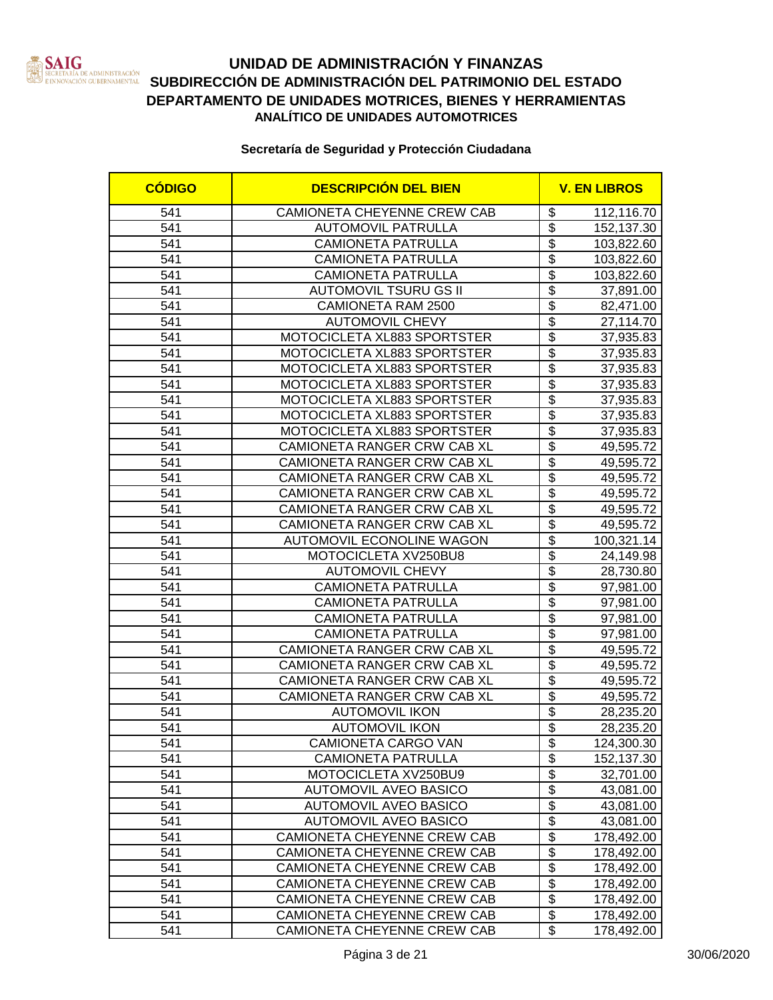

### **UNIDAD DE ADMINISTRACIÓN Y FINANZAS SAN SECRETARÍA DE ADMINISTRACIÓN DEL DEL ESTADO DEL ESTADO EN ENFORMADO DEL ESTADO EN ESTADO EN ESTADO EN ESTADO EN ESTADO EN ESTADO EN ESTADO EN ESTADO EN ESTADO EN ESTADO EN ESTADO EN ESTADO EN ESTADO EN ESTADO EN ESTAD DEPARTAMENTO DE UNIDADES MOTRICES, BIENES Y HERRAMIENTAS ANALÍTICO DE UNIDADES AUTOMOTRICES**

| <b>CÓDIGO</b> | <b>DESCRIPCIÓN DEL BIEN</b>      |                                  | <b>V. EN LIBROS</b> |
|---------------|----------------------------------|----------------------------------|---------------------|
| 541           | CAMIONETA CHEYENNE CREW CAB      | \$                               | 112,116.70          |
| 541           | <b>AUTOMOVIL PATRULLA</b>        | \$                               | 152,137.30          |
| 541           | <b>CAMIONETA PATRULLA</b>        | $\overline{\$}$                  | 103,822.60          |
| 541           | <b>CAMIONETA PATRULLA</b>        | $\overline{\$}$                  | 103,822.60          |
| 541           | <b>CAMIONETA PATRULLA</b>        | \$                               | 103,822.60          |
| 541           | <b>AUTOMOVIL TSURU GS II</b>     | $\overline{\$}$                  | 37,891.00           |
| 541           | CAMIONETA RAM 2500               | $\overline{\$}$                  | 82,471.00           |
| 541           | <b>AUTOMOVIL CHEVY</b>           | $\overline{\$}$                  | 27,114.70           |
| 541           | MOTOCICLETA XL883 SPORTSTER      | $\overline{\$}$                  | 37,935.83           |
| 541           | MOTOCICLETA XL883 SPORTSTER      | $\overline{\$}$                  | 37,935.83           |
| 541           | MOTOCICLETA XL883 SPORTSTER      | $\overline{\$}$                  | 37,935.83           |
| 541           | MOTOCICLETA XL883 SPORTSTER      | $\overline{\$}$                  | 37,935.83           |
| 541           | MOTOCICLETA XL883 SPORTSTER      | $\overline{\$}$                  | 37,935.83           |
| 541           | MOTOCICLETA XL883 SPORTSTER      | \$                               | 37,935.83           |
| 541           | MOTOCICLETA XL883 SPORTSTER      | $\overline{\$}$                  | 37,935.83           |
| 541           | CAMIONETA RANGER CRW CAB XL      | $\overline{\$}$                  | 49,595.72           |
| 541           | CAMIONETA RANGER CRW CAB XL      | $\overline{\$}$                  | 49,595.72           |
| 541           | CAMIONETA RANGER CRW CAB XL      | \$                               | 49,595.72           |
| 541           | CAMIONETA RANGER CRW CAB XL      | $\overline{\$}$                  | 49,595.72           |
| 541           | CAMIONETA RANGER CRW CAB XL      | $\overline{\$}$                  | 49,595.72           |
| 541           | CAMIONETA RANGER CRW CAB XL      | $\overline{\$}$                  | 49,595.72           |
| 541           | <b>AUTOMOVIL ECONOLINE WAGON</b> | \$                               | 100,321.14          |
| 541           | MOTOCICLETA XV250BU8             | $\overline{\mathfrak{s}}$        | 24,149.98           |
| 541           | <b>AUTOMOVIL CHEVY</b>           | $\overline{\$}$                  | 28,730.80           |
| 541           | <b>CAMIONETA PATRULLA</b>        | $\overline{\$}$                  | 97,981.00           |
| 541           | <b>CAMIONETA PATRULLA</b>        | $\overline{\$}$                  | 97,981.00           |
| 541           | <b>CAMIONETA PATRULLA</b>        | $\overline{\$}$                  | 97,981.00           |
| 541           | <b>CAMIONETA PATRULLA</b>        | $\overline{\$}$                  | 97,981.00           |
| 541           | CAMIONETA RANGER CRW CAB XL      | $\overline{\$}$                  | 49,595.72           |
| 541           | CAMIONETA RANGER CRW CAB XL      | $\overline{\$}$                  | 49,595.72           |
| 541           | CAMIONETA RANGER CRW CAB XL      | $\overline{\$}$                  | 49,595.72           |
| 541           | CAMIONETA RANGER CRW CAB XL      | $\overline{\$}$                  | 49,595.72           |
| 541           | <b>AUTOMOVIL IKON</b>            | $\overline{\$}$                  | 28,235.20           |
| 541           | <b>AUTOMOVIL IKON</b>            | $\overline{\$}$                  | 28,235.20           |
| 541           | CAMIONETA CARGO VAN              | \$                               | 124,300.30          |
| 541           | <b>CAMIONETA PATRULLA</b>        | $\overline{\mathbf{e}}$          | 152,137.30          |
| 541           | MOTOCICLETA XV250BU9             | \$                               | 32,701.00           |
| 541           | <b>AUTOMOVIL AVEO BASICO</b>     | \$                               | 43,081.00           |
| 541           | AUTOMOVIL AVEO BASICO            | $\overline{\mathcal{G}}$         | 43,081.00           |
| 541           | <b>AUTOMOVIL AVEO BASICO</b>     | $\overline{\$}$                  | 43,081.00           |
| 541           | CAMIONETA CHEYENNE CREW CAB      | $\overline{\mathcal{G}}$         | 178,492.00          |
| 541           | CAMIONETA CHEYENNE CREW CAB      | $\overline{\boldsymbol{\theta}}$ | 178,492.00          |
| 541           | CAMIONETA CHEYENNE CREW CAB      | \$                               | 178,492.00          |
| 541           | CAMIONETA CHEYENNE CREW CAB      | $\overline{\boldsymbol{\theta}}$ | 178,492.00          |
| 541           | CAMIONETA CHEYENNE CREW CAB      | $\overline{\mathbf{S}}$          | 178,492.00          |
| 541           | CAMIONETA CHEYENNE CREW CAB      | \$                               | 178,492.00          |
| 541           | CAMIONETA CHEYENNE CREW CAB      | \$                               | 178,492.00          |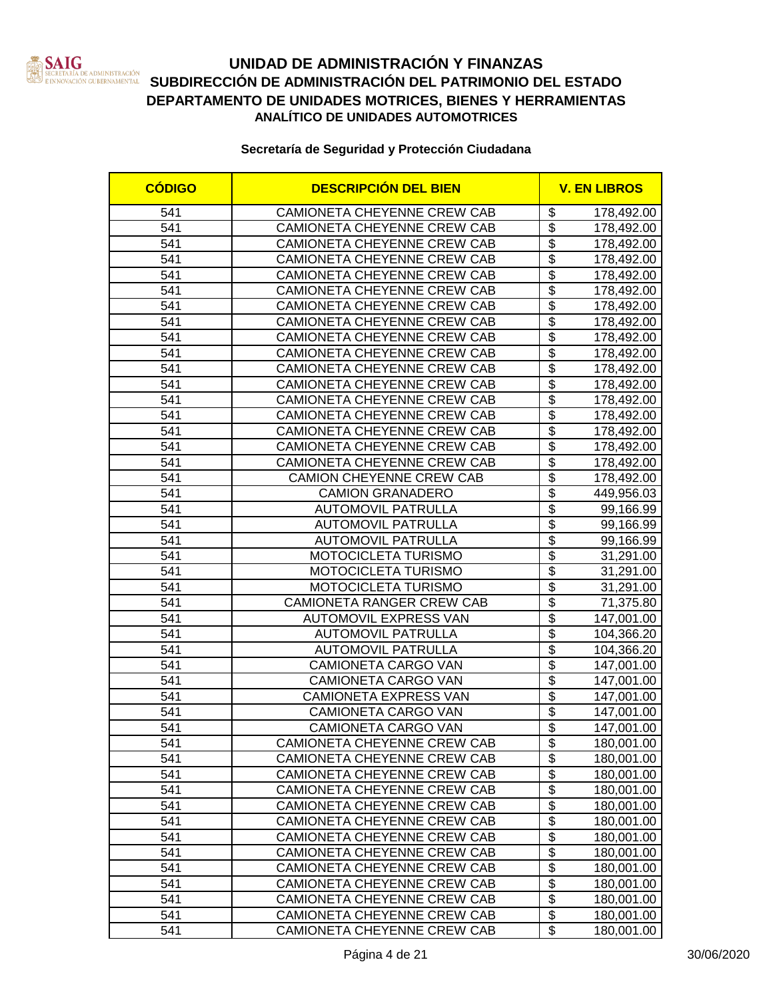

| <b>CÓDIGO</b> | <b>DESCRIPCIÓN DEL BIEN</b>      |                                  | <b>V. EN LIBROS</b> |
|---------------|----------------------------------|----------------------------------|---------------------|
| 541           | CAMIONETA CHEYENNE CREW CAB      | \$                               | 178,492.00          |
| 541           | CAMIONETA CHEYENNE CREW CAB      | $\overline{\mathbf{S}}$          | 178,492.00          |
| 541           | CAMIONETA CHEYENNE CREW CAB      | $\overline{\$}$                  | 178,492.00          |
| 541           | CAMIONETA CHEYENNE CREW CAB      | $\overline{\$}$                  | 178,492.00          |
| 541           | CAMIONETA CHEYENNE CREW CAB      | $\overline{\mathcal{S}}$         | 178,492.00          |
| 541           | CAMIONETA CHEYENNE CREW CAB      | $\overline{\$}$                  | 178,492.00          |
| 541           | CAMIONETA CHEYENNE CREW CAB      | $\overline{\$}$                  | 178,492.00          |
| 541           | CAMIONETA CHEYENNE CREW CAB      | $\overline{\$}$                  | 178,492.00          |
| 541           | CAMIONETA CHEYENNE CREW CAB      | $\overline{\$}$                  | 178,492.00          |
| 541           | CAMIONETA CHEYENNE CREW CAB      | $\overline{\mathbf{S}}$          | 178,492.00          |
| 541           | CAMIONETA CHEYENNE CREW CAB      | $\overline{\$}$                  | 178,492.00          |
| 541           | CAMIONETA CHEYENNE CREW CAB      | $\overline{\$}$                  | 178,492.00          |
| 541           | CAMIONETA CHEYENNE CREW CAB      | $\overline{\mathbb{S}}$          | 178,492.00          |
| 541           | CAMIONETA CHEYENNE CREW CAB      | $\overline{\mathbb{S}}$          | 178,492.00          |
| 541           | CAMIONETA CHEYENNE CREW CAB      | $\overline{\mathbb{S}}$          | 178,492.00          |
| 541           | CAMIONETA CHEYENNE CREW CAB      | $\overline{\$}$                  | 178,492.00          |
| 541           | CAMIONETA CHEYENNE CREW CAB      | $\overline{\$}$                  | 178,492.00          |
| 541           | <b>CAMION CHEYENNE CREW CAB</b>  | $\overline{\mathcal{S}}$         | 178,492.00          |
| 541           | <b>CAMION GRANADERO</b>          | $\overline{\mathcal{S}}$         | 449,956.03          |
| 541           | <b>AUTOMOVIL PATRULLA</b>        | \$                               | 99,166.99           |
| 541           | <b>AUTOMOVIL PATRULLA</b>        | $\overline{\mathbb{S}}$          | 99,166.99           |
| 541           | <b>AUTOMOVIL PATRULLA</b>        | \$                               | 99,166.99           |
| 541           | MOTOCICLETA TURISMO              | $\overline{\mathcal{S}}$         | 31,291.00           |
| 541           | MOTOCICLETA TURISMO              | $\overline{\$}$                  | 31,291.00           |
| 541           | <b>MOTOCICLETA TURISMO</b>       | $\overline{\$}$                  | 31,291.00           |
| 541           | <b>CAMIONETA RANGER CREW CAB</b> | $\overline{\$}$                  | 71,375.80           |
| 541           | <b>AUTOMOVIL EXPRESS VAN</b>     | $\overline{\$}$                  | 147,001.00          |
| 541           | <b>AUTOMOVIL PATRULLA</b>        | $\overline{\$}$                  | 104,366.20          |
| 541           | <b>AUTOMOVIL PATRULLA</b>        | $\overline{\$}$                  | 104,366.20          |
| 541           | CAMIONETA CARGO VAN              | $\overline{\$}$                  | 147,001.00          |
| 541           | CAMIONETA CARGO VAN              | $\overline{\$}$                  | 147,001.00          |
| 541           | CAMIONETA EXPRESS VAN            | $\overline{\$}$                  | 147,001.00          |
| 541           | CAMIONETA CARGO VAN              | $\overline{\$}$                  | 147,001.00          |
| 541           | <b>CAMIONETA CARGO VAN</b>       | $\overline{\$}$                  | 147,001.00          |
| 541           | CAMIONETA CHEYENNE CREW CAB      | \$                               | 180,001.00          |
| 541           | CAMIONETA CHEYENNE CREW CAB      | $\overline{\mathbf{e}}$          | 180,001.00          |
| 541           | CAMIONETA CHEYENNE CREW CAB      | \$                               | 180,001.00          |
| 541           | CAMIONETA CHEYENNE CREW CAB      | \$                               | 180,001.00          |
| 541           | CAMIONETA CHEYENNE CREW CAB      | $\overline{\mathcal{G}}$         | 180,001.00          |
| 541           | CAMIONETA CHEYENNE CREW CAB      | $\overline{\$}$                  | 180,001.00          |
| 541           | CAMIONETA CHEYENNE CREW CAB      | $\overline{\mathcal{G}}$         | 180,001.00          |
| 541           | CAMIONETA CHEYENNE CREW CAB      | \$                               | 180,001.00          |
| 541           | CAMIONETA CHEYENNE CREW CAB      | \$                               | 180,001.00          |
| 541           | CAMIONETA CHEYENNE CREW CAB      | $\overline{\boldsymbol{\theta}}$ | 180,001.00          |
| 541           | CAMIONETA CHEYENNE CREW CAB      | \$                               | 180,001.00          |
| 541           | CAMIONETA CHEYENNE CREW CAB      | \$                               | 180,001.00          |
| 541           | CAMIONETA CHEYENNE CREW CAB      | \$                               | 180,001.00          |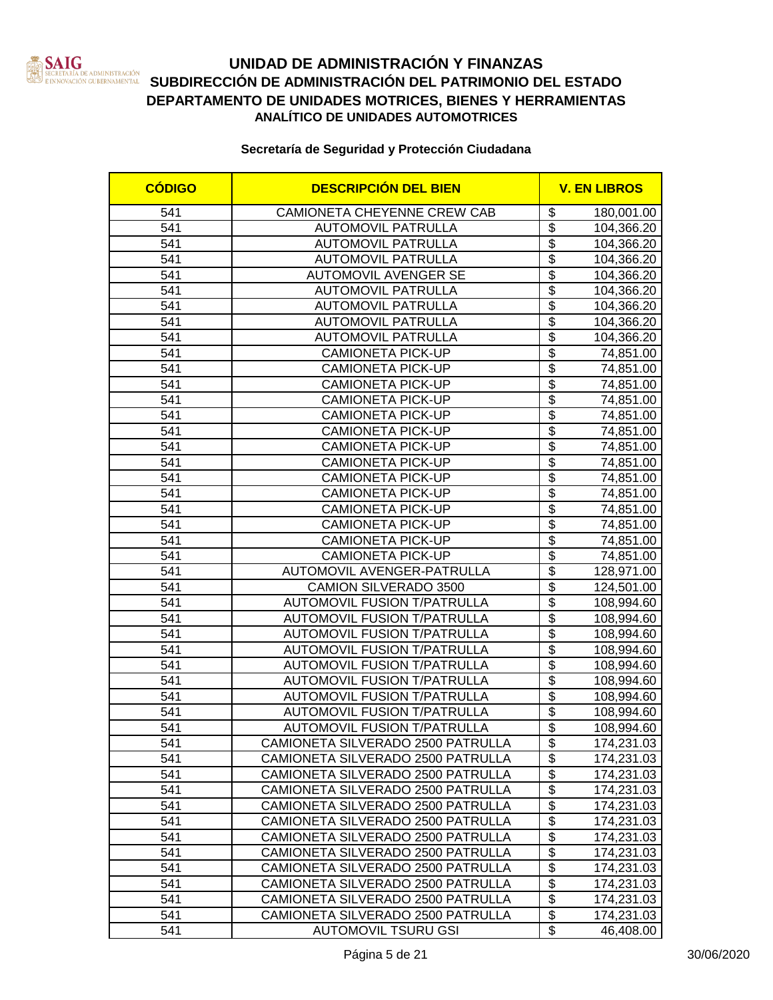

| <b>CÓDIGO</b> | <b>DESCRIPCIÓN DEL BIEN</b>        |                                  | <b>V. EN LIBROS</b> |
|---------------|------------------------------------|----------------------------------|---------------------|
| 541           | CAMIONETA CHEYENNE CREW CAB        | \$                               | 180,001.00          |
| 541           | <b>AUTOMOVIL PATRULLA</b>          | $\overline{\mathbf{3}}$          | 104,366.20          |
| 541           | <b>AUTOMOVIL PATRULLA</b>          | $\overline{\$}$                  | 104,366.20          |
| 541           | <b>AUTOMOVIL PATRULLA</b>          | $\overline{\$}$                  | 104,366.20          |
| 541           | <b>AUTOMOVIL AVENGER SE</b>        | $\overline{\$}$                  | 104,366.20          |
| 541           | <b>AUTOMOVIL PATRULLA</b>          | $\overline{\$}$                  | 104,366.20          |
| 541           | <b>AUTOMOVIL PATRULLA</b>          | $\overline{\$}$                  | 104,366.20          |
| 541           | <b>AUTOMOVIL PATRULLA</b>          | $\overline{\$}$                  | 104,366.20          |
| 541           | <b>AUTOMOVIL PATRULLA</b>          | $\overline{\$}$                  | 104,366.20          |
| 541           | <b>CAMIONETA PICK-UP</b>           | $\overline{\$}$                  | 74,851.00           |
| 541           | <b>CAMIONETA PICK-UP</b>           | $\overline{\$}$                  | 74,851.00           |
| 541           | <b>CAMIONETA PICK-UP</b>           | $\overline{\$}$                  | 74,851.00           |
| 541           | <b>CAMIONETA PICK-UP</b>           | $\overline{\mathbb{S}}$          | 74,851.00           |
| 541           | <b>CAMIONETA PICK-UP</b>           | $\overline{\$}$                  | 74,851.00           |
| 541           | <b>CAMIONETA PICK-UP</b>           | $\overline{\$}$                  | 74,851.00           |
| 541           | <b>CAMIONETA PICK-UP</b>           | $\overline{\$}$                  | 74,851.00           |
| 541           | <b>CAMIONETA PICK-UP</b>           | $\overline{\mathcal{S}}$         | 74,851.00           |
| 541           | <b>CAMIONETA PICK-UP</b>           | $\overline{\$}$                  | 74,851.00           |
| 541           | <b>CAMIONETA PICK-UP</b>           | $\overline{\$}$                  | 74,851.00           |
| 541           | <b>CAMIONETA PICK-UP</b>           | $\overline{\$}$                  | 74,851.00           |
| 541           | <b>CAMIONETA PICK-UP</b>           | $\overline{\mathcal{S}}$         | 74,851.00           |
| 541           | <b>CAMIONETA PICK-UP</b>           | $\overline{\$}$                  | 74,851.00           |
| 541           | <b>CAMIONETA PICK-UP</b>           | $\overline{\$}$                  | 74,851.00           |
| 541           | AUTOMOVIL AVENGER-PATRULLA         | $\overline{\$}$                  | 128,971.00          |
| 541           | <b>CAMION SILVERADO 3500</b>       | $\overline{\$}$                  | 124,501.00          |
| 541           | <b>AUTOMOVIL FUSION T/PATRULLA</b> | $\overline{\$}$                  | 108,994.60          |
| 541           | <b>AUTOMOVIL FUSION T/PATRULLA</b> | $\overline{\$}$                  | 108,994.60          |
| 541           | <b>AUTOMOVIL FUSION T/PATRULLA</b> | $\overline{\$}$                  | 108,994.60          |
| 541           | <b>AUTOMOVIL FUSION T/PATRULLA</b> | $\overline{\$}$                  | 108,994.60          |
| 541           | <b>AUTOMOVIL FUSION T/PATRULLA</b> | $\overline{\$}$                  | 108,994.60          |
| 541           | <b>AUTOMOVIL FUSION T/PATRULLA</b> | $\overline{\$}$                  | 108,994.60          |
| 541           | <b>AUTOMOVIL FUSION T/PATRULLA</b> | $\overline{\$}$                  | 108,994.60          |
| 541           | <b>AUTOMOVIL FUSION T/PATRULLA</b> | $\overline{\$}$                  | 108,994.60          |
| 541           | <b>AUTOMOVIL FUSION T/PATRULLA</b> | $\overline{\mathbf{S}}$          | 108,994.60          |
| 541           | CAMIONETA SILVERADO 2500 PATRULLA  | \$                               | 174,231.03          |
| 541           | CAMIONETA SILVERADO 2500 PATRULLA  | \$                               | 174,231.03          |
| 541           | CAMIONETA SILVERADO 2500 PATRULLA  | \$                               | 174,231.03          |
| 541           | CAMIONETA SILVERADO 2500 PATRULLA  | \$                               | 174,231.03          |
| 541           | CAMIONETA SILVERADO 2500 PATRULLA  | $\overline{\boldsymbol{\theta}}$ | 174,231.03          |
| 541           | CAMIONETA SILVERADO 2500 PATRULLA  | \$                               | 174,231.03          |
| 541           | CAMIONETA SILVERADO 2500 PATRULLA  | \$                               | 174,231.03          |
| 541           | CAMIONETA SILVERADO 2500 PATRULLA  | \$                               | 174,231.03          |
| 541           | CAMIONETA SILVERADO 2500 PATRULLA  | \$                               | 174,231.03          |
| 541           | CAMIONETA SILVERADO 2500 PATRULLA  | \$                               | 174,231.03          |
| 541           | CAMIONETA SILVERADO 2500 PATRULLA  | \$                               | 174,231.03          |
| 541           | CAMIONETA SILVERADO 2500 PATRULLA  | \$                               | 174,231.03          |
| 541           | <b>AUTOMOVIL TSURU GSI</b>         | \$                               | 46,408.00           |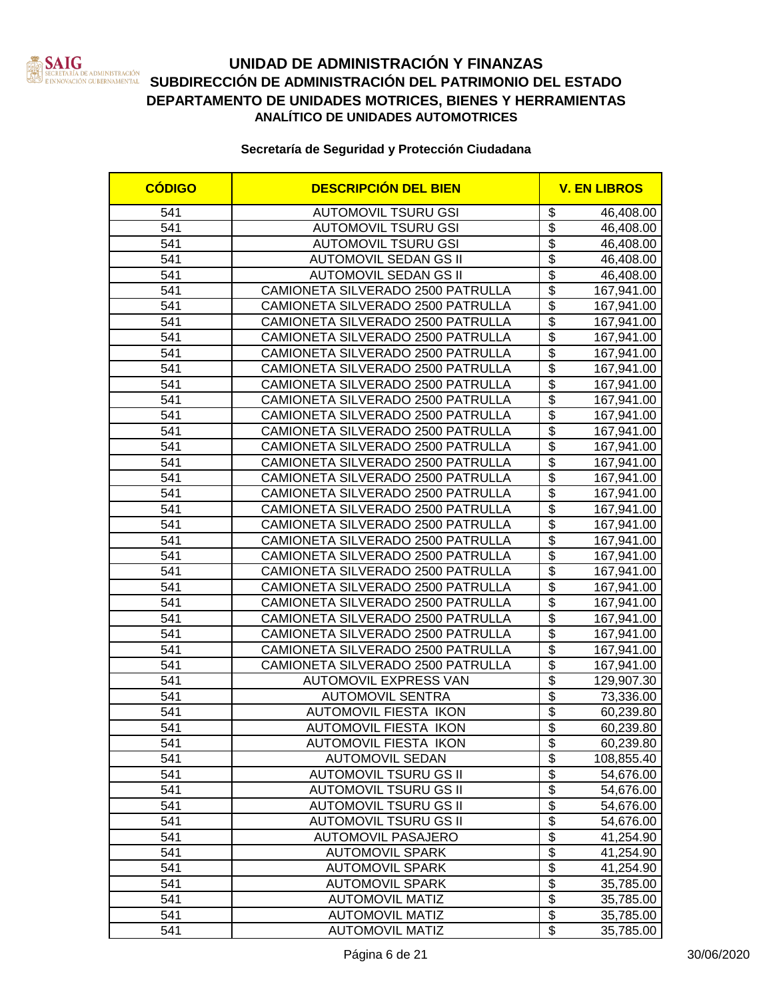

| <b>CÓDIGO</b> | <b>DESCRIPCIÓN DEL BIEN</b>                                  |                                    | <b>V. EN LIBROS</b>    |  |
|---------------|--------------------------------------------------------------|------------------------------------|------------------------|--|
| 541           | <b>AUTOMOVIL TSURU GSI</b>                                   | \$                                 | 46,408.00              |  |
| 541           | <b>AUTOMOVIL TSURU GSI</b>                                   | \$                                 | 46,408.00              |  |
| 541           | <b>AUTOMOVIL TSURU GSI</b>                                   | $\overline{\$}$                    | 46,408.00              |  |
| 541           | <b>AUTOMOVIL SEDAN GS II</b>                                 | $\overline{\$}$                    | 46,408.00              |  |
| 541           | <b>AUTOMOVIL SEDAN GS II</b>                                 | $\overline{\$}$                    | 46,408.00              |  |
| 541           | CAMIONETA SILVERADO 2500 PATRULLA                            | $\overline{\$}$                    | 167,941.00             |  |
| 541           | CAMIONETA SILVERADO 2500 PATRULLA                            | $\overline{\$}$                    | 167,941.00             |  |
| 541           | CAMIONETA SILVERADO 2500 PATRULLA                            | $\overline{\$}$                    | 167,941.00             |  |
| 541           | CAMIONETA SILVERADO 2500 PATRULLA                            | $\overline{\$}$                    | 167,941.00             |  |
| 541           | CAMIONETA SILVERADO 2500 PATRULLA                            | $\overline{\$}$                    | 167,941.00             |  |
| 541           | CAMIONETA SILVERADO 2500 PATRULLA                            | $\overline{\$}$                    | 167,941.00             |  |
| 541           | CAMIONETA SILVERADO 2500 PATRULLA                            | $\overline{\$}$                    | 167,941.00             |  |
| 541           | CAMIONETA SILVERADO 2500 PATRULLA                            | $\overline{\$}$                    | 167,941.00             |  |
| 541           | CAMIONETA SILVERADO 2500 PATRULLA                            | $\overline{\$}$                    | 167,941.00             |  |
| 541           | CAMIONETA SILVERADO 2500 PATRULLA                            | \$                                 | 167,941.00             |  |
| 541           | CAMIONETA SILVERADO 2500 PATRULLA                            | \$                                 | 167,941.00             |  |
| 541           | CAMIONETA SILVERADO 2500 PATRULLA                            | $\overline{\$}$                    | 167,941.00             |  |
| 541           | CAMIONETA SILVERADO 2500 PATRULLA                            | \$                                 | 167,941.00             |  |
| 541           | CAMIONETA SILVERADO 2500 PATRULLA                            | \$                                 | 167,941.00             |  |
| 541           | CAMIONETA SILVERADO 2500 PATRULLA                            | \$                                 | 167,941.00             |  |
| 541           | CAMIONETA SILVERADO 2500 PATRULLA                            | $\overline{\$}$                    | 167,941.00             |  |
| 541           | CAMIONETA SILVERADO 2500 PATRULLA                            | $\overline{\mathfrak{s}}$          | 167,941.00             |  |
| 541           | CAMIONETA SILVERADO 2500 PATRULLA                            | $\overline{\mathfrak{s}}$          | 167,941.00             |  |
| 541           | CAMIONETA SILVERADO 2500 PATRULLA                            | $\overline{\mathfrak{s}}$          | 167,941.00             |  |
| 541           | CAMIONETA SILVERADO 2500 PATRULLA                            | $\overline{\$}$                    | 167,941.00             |  |
| 541           | CAMIONETA SILVERADO 2500 PATRULLA                            | $\overline{\$}$                    | 167,941.00             |  |
| 541           | CAMIONETA SILVERADO 2500 PATRULLA                            | $\overline{\$}$                    | 167,941.00             |  |
| 541           | CAMIONETA SILVERADO 2500 PATRULLA                            | $\overline{\$}$                    | 167,941.00             |  |
| 541           | CAMIONETA SILVERADO 2500 PATRULLA                            | $\overline{\$}$                    | 167,941.00             |  |
| 541           | CAMIONETA SILVERADO 2500 PATRULLA                            | $\overline{\$}$                    | 167,941.00             |  |
| 541           | <b>AUTOMOVIL EXPRESS VAN</b>                                 | $\overline{\$}$                    | 129,907.30             |  |
| 541           | <b>AUTOMOVIL SENTRA</b>                                      | \$                                 | 73,336.00              |  |
| 541           | <b>AUTOMOVIL FIESTA IKON</b>                                 | $\overline{\$}$                    | 60,239.80              |  |
| 541           | <b>AUTOMOVIL FIESTA IKON</b>                                 | $\overline{\$}$                    | 60,239.80              |  |
| 541           | AUTOMOVIL FIESTA IKON                                        | \$                                 | 60,239.80              |  |
| 541           | <b>AUTOMOVIL SEDAN</b>                                       | $\overline{\mathbf{S}}$            | 108,855.40             |  |
| 541           | <b>AUTOMOVIL TSURU GS II</b>                                 | $\overline{\$}$                    | 54,676.00              |  |
| 541           | <b>AUTOMOVIL TSURU GS II</b>                                 | $\overline{\$}$<br>$\overline{\$}$ | 54,676.00              |  |
| 541<br>541    | <b>AUTOMOVIL TSURU GS II</b><br><b>AUTOMOVIL TSURU GS II</b> | $\overline{\mathbf{S}}$            | 54,676.00              |  |
| 541           |                                                              | \$                                 | 54,676.00              |  |
|               | <b>AUTOMOVIL PASAJERO</b>                                    | \$                                 | 41,254.90              |  |
| 541<br>541    | <b>AUTOMOVIL SPARK</b><br><b>AUTOMOVIL SPARK</b>             | \$                                 | 41,254.90              |  |
| 541           | <b>AUTOMOVIL SPARK</b>                                       | $\overline{\mathfrak{s}}$          | 41,254.90              |  |
| 541           | <b>AUTOMOVIL MATIZ</b>                                       | $\overline{\$}$                    | 35,785.00<br>35,785.00 |  |
| 541           | <b>AUTOMOVIL MATIZ</b>                                       | $\overline{\$}$                    | 35,785.00              |  |
| 541           | <b>AUTOMOVIL MATIZ</b>                                       | $\overline{\mathbf{S}}$            | 35,785.00              |  |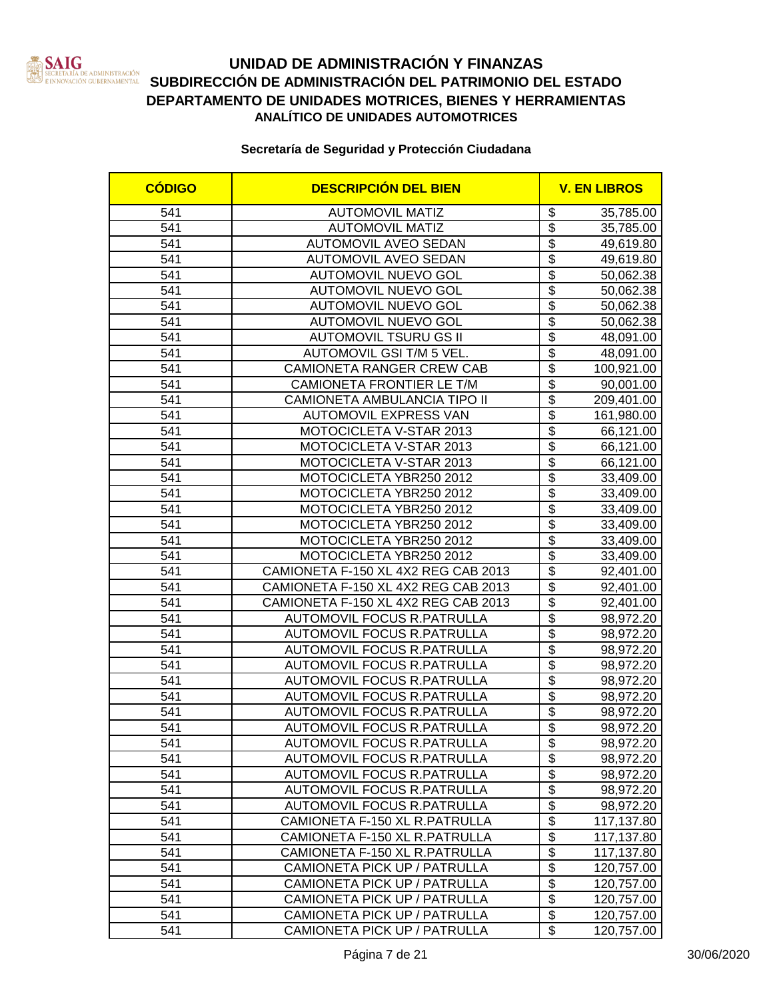

| <b>CÓDIGO</b> | <b>DESCRIPCIÓN DEL BIEN</b>                                  |                                                                  | <b>V. EN LIBROS</b>      |  |
|---------------|--------------------------------------------------------------|------------------------------------------------------------------|--------------------------|--|
| 541           | <b>AUTOMOVIL MATIZ</b>                                       | \$                                                               | 35,785.00                |  |
| 541           | <b>AUTOMOVIL MATIZ</b>                                       | \$                                                               | 35,785.00                |  |
| 541           | <b>AUTOMOVIL AVEO SEDAN</b>                                  | $\overline{\$}$                                                  | 49,619.80                |  |
| 541           | <b>AUTOMOVIL AVEO SEDAN</b>                                  | $\overline{\$}$                                                  | 49,619.80                |  |
| 541           | <b>AUTOMOVIL NUEVO GOL</b>                                   | $\overline{\$}$                                                  | 50,062.38                |  |
| 541           | <b>AUTOMOVIL NUEVO GOL</b>                                   | $\overline{\$}$                                                  | 50,062.38                |  |
| 541           | <b>AUTOMOVIL NUEVO GOL</b>                                   | $\overline{\$}$                                                  | 50,062.38                |  |
| 541           | <b>AUTOMOVIL NUEVO GOL</b>                                   | $\overline{\$}$                                                  | 50,062.38                |  |
| 541           | <b>AUTOMOVIL TSURU GS II</b>                                 | $\overline{\$}$                                                  | 48,091.00                |  |
| 541           | AUTOMOVIL GSI T/M 5 VEL.                                     | $\overline{\$}$                                                  | 48,091.00                |  |
| 541           | <b>CAMIONETA RANGER CREW CAB</b>                             | $\overline{\$}$                                                  | 100,921.00               |  |
| 541           | CAMIONETA FRONTIER LE T/M                                    | $\overline{\$}$                                                  | 90,001.00                |  |
| 541           | CAMIONETA AMBULANCIA TIPO II                                 | $\overline{\$}$                                                  | 209,401.00               |  |
| 541           | <b>AUTOMOVIL EXPRESS VAN</b>                                 | $\overline{\$}$                                                  | 161,980.00               |  |
| 541           | MOTOCICLETA V-STAR 2013                                      | $\overline{\mathcal{S}}$                                         | 66,121.00                |  |
| 541           | MOTOCICLETA V-STAR 2013                                      | $\overline{\$}$                                                  | 66,121.00                |  |
| 541           | MOTOCICLETA V-STAR 2013                                      | $\overline{\mathcal{S}}$                                         | 66,121.00                |  |
| 541           | MOTOCICLETA YBR250 2012                                      | $\overline{\mathcal{S}}$                                         | 33,409.00                |  |
| 541           | MOTOCICLETA YBR250 2012                                      | $\overline{\mathcal{S}}$                                         | 33,409.00                |  |
| 541           | MOTOCICLETA YBR250 2012                                      | $\overline{\mathcal{S}}$                                         | 33,409.00                |  |
| 541           | MOTOCICLETA YBR250 2012                                      | $\overline{\$}$                                                  | 33,409.00                |  |
| 541           | MOTOCICLETA YBR250 2012                                      | $\overline{\$}$                                                  | 33,409.00                |  |
| 541           | MOTOCICLETA YBR250 2012                                      | $\overline{\mathcal{S}}$                                         | 33,409.00                |  |
| 541           | CAMIONETA F-150 XL 4X2 REG CAB 2013                          | $\overline{\$}$                                                  | 92,401.00                |  |
| 541           | CAMIONETA F-150 XL 4X2 REG CAB 2013                          | $\overline{\$}$                                                  | 92,401.00                |  |
| 541           | CAMIONETA F-150 XL 4X2 REG CAB 2013                          | $\overline{\$}$                                                  | 92,401.00                |  |
| 541           | <b>AUTOMOVIL FOCUS R.PATRULLA</b>                            | $\overline{\$}$                                                  | 98,972.20                |  |
| 541           | <b>AUTOMOVIL FOCUS R.PATRULLA</b>                            | $\overline{\$}$                                                  | 98,972.20                |  |
| 541           | <b>AUTOMOVIL FOCUS R.PATRULLA</b>                            | $\overline{\$}$                                                  | 98,972.20                |  |
| 541           | <b>AUTOMOVIL FOCUS R.PATRULLA</b>                            | $\overline{\$}$                                                  | 98,972.20                |  |
| 541           | <b>AUTOMOVIL FOCUS R.PATRULLA</b>                            | $\overline{\$}$                                                  | 98,972.20                |  |
| 541           | AUTOMOVIL FOCUS R.PATRULLA                                   | $\overline{\$}$                                                  | 98,972.20                |  |
| 541           | <b>AUTOMOVIL FOCUS R.PATRULLA</b>                            | $\overline{\$}$                                                  | 98,972.20                |  |
| 541           | <b>AUTOMOVIL FOCUS R.PATRULLA</b>                            | $\overline{\$}$                                                  | 98,972.20                |  |
| 541           | AUTOMOVIL FOCUS R.PATRULLA                                   | \$                                                               | 98,972.20                |  |
| 541           | <b>AUTOMOVIL FOCUS R.PATRULLA</b>                            | $\overline{\mathbf{e}}$                                          | 98,972.20                |  |
| 541           | AUTOMOVIL FOCUS R.PATRULLA                                   | $\overline{\$}$                                                  | 98,972.20                |  |
| 541           | AUTOMOVIL FOCUS R.PATRULLA<br>AUTOMOVIL FOCUS R.PATRULLA     | $\overline{\mathcal{S}}$<br>$\overline{\boldsymbol{\mathsf{s}}}$ | 98,972.20                |  |
| 541           |                                                              | $\overline{\boldsymbol{\mathsf{s}}}$                             | 98,972.20                |  |
| 541<br>541    | CAMIONETA F-150 XL R.PATRULLA                                | $\overline{\mathbf{S}}$                                          | 117,137.80               |  |
|               | CAMIONETA F-150 XL R.PATRULLA                                | $\overline{\mathfrak{s}}$                                        | 117,137.80               |  |
| 541           | CAMIONETA F-150 XL R.PATRULLA                                | $\overline{\mathfrak{s}}$                                        | 117,137.80               |  |
| 541<br>541    | CAMIONETA PICK UP / PATRULLA<br>CAMIONETA PICK UP / PATRULLA | $\overline{\mathbf{S}}$                                          | 120,757.00               |  |
| 541           | CAMIONETA PICK UP / PATRULLA                                 | $\overline{\mathbf{e}}$                                          | 120,757.00<br>120,757.00 |  |
| 541           | CAMIONETA PICK UP / PATRULLA                                 | $\overline{\$}$                                                  | 120,757.00               |  |
| 541           | CAMIONETA PICK UP / PATRULLA                                 | \$                                                               | 120,757.00               |  |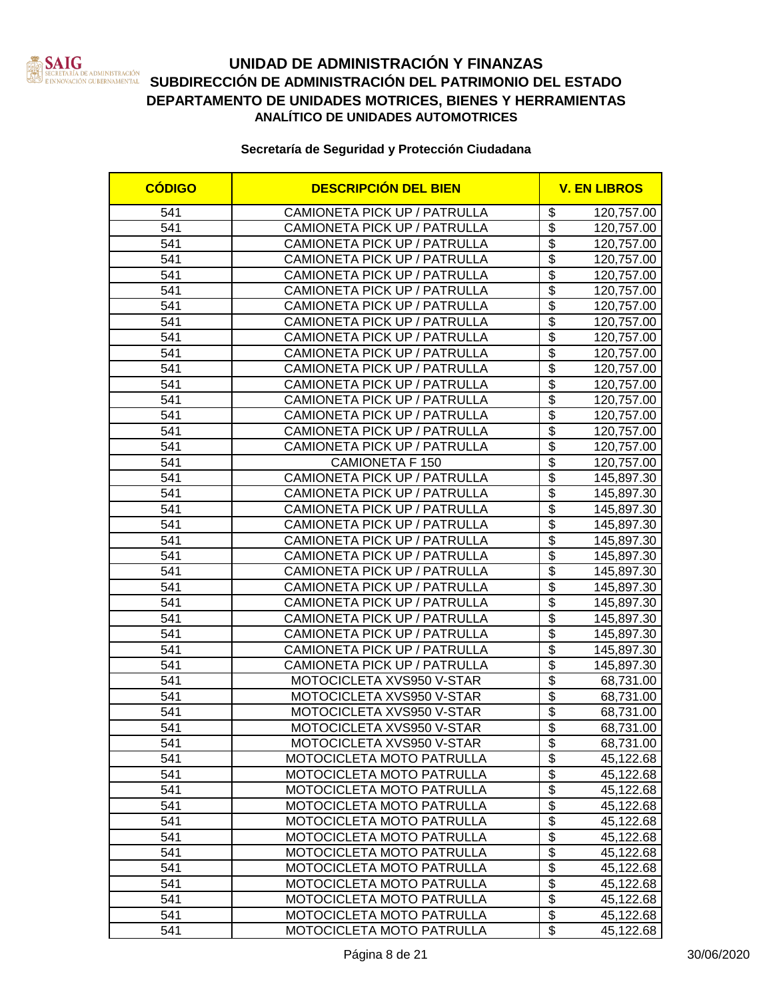

### **UNIDAD DE ADMINISTRACIÓN Y FINANZAS SECRETARÍA DE ADMINISTRACIÓN SUBDIRECCIÓN DE ADMINISTRACIÓN DEL PATRIMONIO DEL ESTADO DEPARTAMENTO DE UNIDADES MOTRICES, BIENES Y HERRAMIENTAS ANALÍTICO DE UNIDADES AUTOMOTRICES**

| <b>CÓDIGO</b> | <b>DESCRIPCIÓN DEL BIEN</b>  |                                      | <b>V. EN LIBROS</b> |  |
|---------------|------------------------------|--------------------------------------|---------------------|--|
| 541           | CAMIONETA PICK UP / PATRULLA | \$                                   | 120,757.00          |  |
| 541           | CAMIONETA PICK UP / PATRULLA | $\overline{\$}$                      | 120,757.00          |  |
| 541           | CAMIONETA PICK UP / PATRULLA | $\overline{\$}$                      | 120,757.00          |  |
| 541           | CAMIONETA PICK UP / PATRULLA | $\overline{\$}$                      | 120,757.00          |  |
| 541           | CAMIONETA PICK UP / PATRULLA | $\overline{\$}$                      | 120,757.00          |  |
| 541           | CAMIONETA PICK UP / PATRULLA | $\overline{\$}$                      | 120,757.00          |  |
| 541           | CAMIONETA PICK UP / PATRULLA | $\overline{\$}$                      | 120,757.00          |  |
| 541           | CAMIONETA PICK UP / PATRULLA | $\overline{\$}$                      | 120,757.00          |  |
| 541           | CAMIONETA PICK UP / PATRULLA | $\overline{\$}$                      | 120,757.00          |  |
| 541           | CAMIONETA PICK UP / PATRULLA | $\overline{\$}$                      | 120,757.00          |  |
| 541           | CAMIONETA PICK UP / PATRULLA | $\overline{\$}$                      | 120,757.00          |  |
| 541           | CAMIONETA PICK UP / PATRULLA | $\overline{\$}$                      | 120,757.00          |  |
| 541           | CAMIONETA PICK UP / PATRULLA | \$                                   | 120,757.00          |  |
| 541           | CAMIONETA PICK UP / PATRULLA | $\overline{\$}$                      | 120,757.00          |  |
| 541           | CAMIONETA PICK UP / PATRULLA | $\overline{\$}$                      | 120,757.00          |  |
| 541           | CAMIONETA PICK UP / PATRULLA | $\overline{\$}$                      | 120,757.00          |  |
| 541           | <b>CAMIONETA F 150</b>       | \$                                   | 120,757.00          |  |
| 541           | CAMIONETA PICK UP / PATRULLA | $\overline{\$}$                      | 145,897.30          |  |
| 541           | CAMIONETA PICK UP / PATRULLA | $\overline{\$}$                      | 145,897.30          |  |
| 541           | CAMIONETA PICK UP / PATRULLA | $\overline{\$}$                      | 145,897.30          |  |
| 541           | CAMIONETA PICK UP / PATRULLA | \$                                   | 145,897.30          |  |
| 541           | CAMIONETA PICK UP / PATRULLA | $\overline{\$}$                      | 145,897.30          |  |
| 541           | CAMIONETA PICK UP / PATRULLA | $\overline{\$}$                      | 145,897.30          |  |
| 541           | CAMIONETA PICK UP / PATRULLA | $\overline{\$}$                      | 145,897.30          |  |
| 541           | CAMIONETA PICK UP / PATRULLA | $\overline{\$}$                      | 145,897.30          |  |
| 541           | CAMIONETA PICK UP / PATRULLA | $\overline{\$}$                      | 145,897.30          |  |
| 541           | CAMIONETA PICK UP / PATRULLA | $\overline{\$}$                      | 145,897.30          |  |
| 541           | CAMIONETA PICK UP / PATRULLA | $\overline{\$}$                      | 145,897.30          |  |
| 541           | CAMIONETA PICK UP / PATRULLA | $\overline{\$}$                      | 145,897.30          |  |
| 541           | CAMIONETA PICK UP / PATRULLA | $\overline{\$}$                      | 145,897.30          |  |
| 541           | MOTOCICLETA XVS950 V-STAR    | $\overline{\$}$                      | 68,731.00           |  |
| 541           | MOTOCICLETA XVS950 V-STAR    | $\overline{\$}$                      | 68,731.00           |  |
| 541           | MOTOCICLETA XVS950 V-STAR    | $\overline{\$}$                      | 68,731.00           |  |
| 541           | MOTOCICLETA XVS950 V-STAR    | $\overline{\$}$                      | 68,731.00           |  |
| 541           | MOTOCICLETA XVS950 V-STAR    | \$                                   | 68,731.00           |  |
| 541           | MOTOCICLETA MOTO PATRULLA    | $\overline{\boldsymbol{\mathsf{s}}}$ | 45,122.68           |  |
| 541           | MOTOCICLETA MOTO PATRULLA    | \$                                   | 45,122.68           |  |
| 541           | MOTOCICLETA MOTO PATRULLA    | $\overline{\mathcal{G}}$             | 45,122.68           |  |
| 541           | MOTOCICLETA MOTO PATRULLA    | $\overline{\$}$                      | 45,122.68           |  |
| 541           | MOTOCICLETA MOTO PATRULLA    | $\overline{\mathbf{S}}$              | 45,122.68           |  |
| 541           | MOTOCICLETA MOTO PATRULLA    | $\overline{\mathbf{e}}$              | 45,122.68           |  |
| 541           | MOTOCICLETA MOTO PATRULLA    | \$                                   | 45,122.68           |  |
| 541           | MOTOCICLETA MOTO PATRULLA    | $\overline{\mathbf{e}}$              | 45,122.68           |  |
| 541           | MOTOCICLETA MOTO PATRULLA    | $\overline{\mathfrak{s}}$            | 45,122.68           |  |
| 541           | MOTOCICLETA MOTO PATRULLA    | $\overline{\mathbf{S}}$              | 45,122.68           |  |
| 541           | MOTOCICLETA MOTO PATRULLA    | \$                                   | 45,122.68           |  |
| 541           | MOTOCICLETA MOTO PATRULLA    | \$                                   | 45,122.68           |  |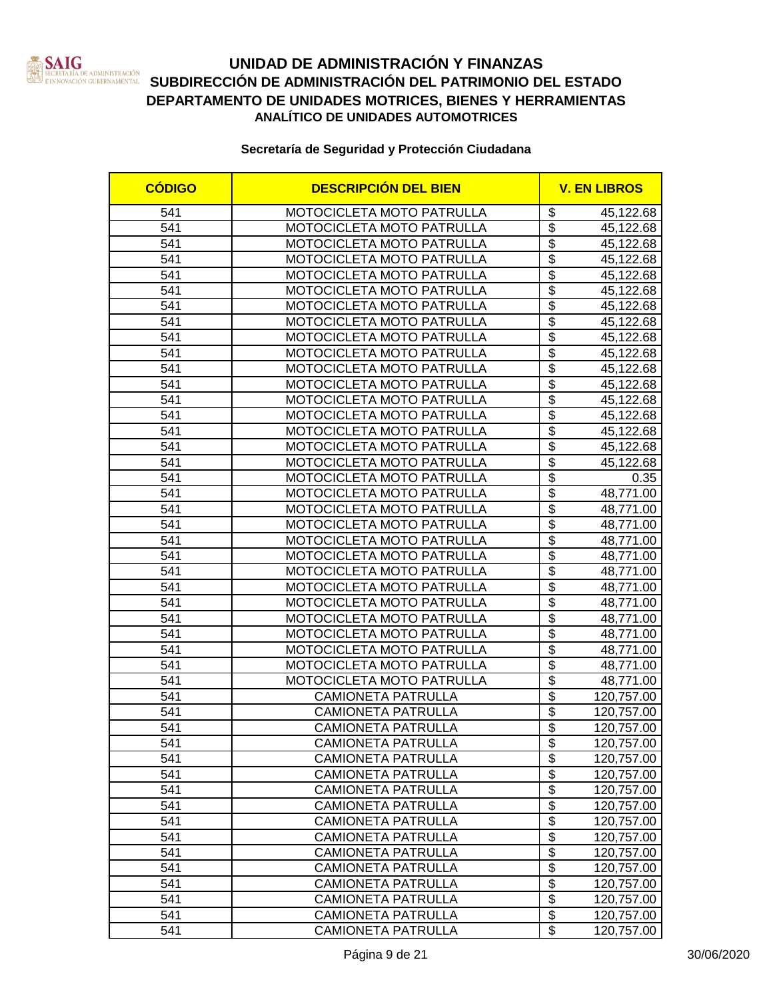

| <b>CÓDIGO</b> | <b>DESCRIPCIÓN DEL BIEN</b>      |                                      | <b>V. EN LIBROS</b> |
|---------------|----------------------------------|--------------------------------------|---------------------|
| 541           | <b>MOTOCICLETA MOTO PATRULLA</b> | \$                                   | 45,122.68           |
| 541           | MOTOCICLETA MOTO PATRULLA        | \$                                   | 45,122.68           |
| 541           | MOTOCICLETA MOTO PATRULLA        | $\overline{\$}$                      | 45,122.68           |
| 541           | MOTOCICLETA MOTO PATRULLA        | $\overline{\$}$                      | 45,122.68           |
| 541           | MOTOCICLETA MOTO PATRULLA        | $\overline{\$}$                      | 45,122.68           |
| 541           | MOTOCICLETA MOTO PATRULLA        | $\overline{\$}$                      | 45,122.68           |
| 541           | MOTOCICLETA MOTO PATRULLA        | $\overline{\$}$                      | 45,122.68           |
| 541           | MOTOCICLETA MOTO PATRULLA        | $\overline{\$}$                      | 45,122.68           |
| 541           | MOTOCICLETA MOTO PATRULLA        | $\overline{\$}$                      | 45,122.68           |
| 541           | MOTOCICLETA MOTO PATRULLA        | $\overline{\$}$                      | 45,122.68           |
| 541           | MOTOCICLETA MOTO PATRULLA        | $\overline{\$}$                      | 45,122.68           |
| 541           | MOTOCICLETA MOTO PATRULLA        | $\overline{\$}$                      | 45,122.68           |
| 541           | MOTOCICLETA MOTO PATRULLA        | $\overline{\$}$                      | 45,122.68           |
| 541           | MOTOCICLETA MOTO PATRULLA        | $\overline{\$}$                      | 45,122.68           |
| 541           | MOTOCICLETA MOTO PATRULLA        | $\overline{\$}$                      | 45,122.68           |
| 541           | MOTOCICLETA MOTO PATRULLA        | $\overline{\mathbf{S}}$              | 45,122.68           |
| 541           | MOTOCICLETA MOTO PATRULLA        | $\overline{\$}$                      | 45,122.68           |
| 541           | <b>MOTOCICLETA MOTO PATRULLA</b> | $\overline{\$}$                      | 0.35                |
| 541           | MOTOCICLETA MOTO PATRULLA        | $\overline{\$}$                      | 48,771.00           |
| 541           | MOTOCICLETA MOTO PATRULLA        | \$                                   | 48,771.00           |
| 541           | MOTOCICLETA MOTO PATRULLA        | $\overline{\$}$                      | 48,771.00           |
| 541           | MOTOCICLETA MOTO PATRULLA        | $\overline{\$}$                      | 48,771.00           |
| 541           | MOTOCICLETA MOTO PATRULLA        | $\overline{\$}$                      | 48,771.00           |
| 541           | MOTOCICLETA MOTO PATRULLA        | \$                                   | 48,771.00           |
| 541           | MOTOCICLETA MOTO PATRULLA        | $\overline{\$}$                      | 48,771.00           |
| 541           | MOTOCICLETA MOTO PATRULLA        | $\overline{\$}$                      | 48,771.00           |
| 541           | MOTOCICLETA MOTO PATRULLA        | $\overline{\$}$                      | 48,771.00           |
| 541           | MOTOCICLETA MOTO PATRULLA        | $\overline{\$}$                      | 48,771.00           |
| 541           | MOTOCICLETA MOTO PATRULLA        | $\overline{\$}$                      | 48,771.00           |
| 541           | MOTOCICLETA MOTO PATRULLA        | $\overline{\$}$                      | 48,771.00           |
| 541           | MOTOCICLETA MOTO PATRULLA        | $\overline{\$}$                      | 48,771.00           |
| 541           | <b>CAMIONETA PATRULLA</b>        | $\overline{\$}$                      | 120,757.00          |
| 541           | <b>CAMIONETA PATRULLA</b>        | \$                                   | 120,757.00          |
| 541           | <b>CAMIONETA PATRULLA</b>        | $\overline{\$}$                      | 120,757.00          |
| 541           | CAMIONETA PATRULLA               | \$                                   | 120,757.00          |
| 541           | <b>CAMIONETA PATRULLA</b>        | $\overline{\boldsymbol{\mathsf{s}}}$ | 120,757.00          |
| 541           | <b>CAMIONETA PATRULLA</b>        | \$                                   | 120,757.00          |
| 541           | <b>CAMIONETA PATRULLA</b>        | $\overline{\$}$                      | 120,757.00          |
| 541           | <b>CAMIONETA PATRULLA</b>        | $\overline{\$}$                      | 120,757.00          |
| 541           | <b>CAMIONETA PATRULLA</b>        | $\overline{\$}$                      | 120,757.00          |
| 541           | <b>CAMIONETA PATRULLA</b>        | $\overline{\mathbf{S}}$              | 120,757.00          |
| 541           | <b>CAMIONETA PATRULLA</b>        | $\overline{\mathbf{e}}$              | 120,757.00          |
| 541           | <b>CAMIONETA PATRULLA</b>        | $\overline{\mathfrak{s}}$            | 120,757.00          |
| 541           | <b>CAMIONETA PATRULLA</b>        | $\overline{\mathbf{S}}$              | 120,757.00          |
| 541           | <b>CAMIONETA PATRULLA</b>        | $\overline{\mathbf{S}}$              | 120,757.00          |
| 541           | <b>CAMIONETA PATRULLA</b>        | $\overline{\$}$                      | 120,757.00          |
| 541           | <b>CAMIONETA PATRULLA</b>        | $\overline{\$}$                      | 120,757.00          |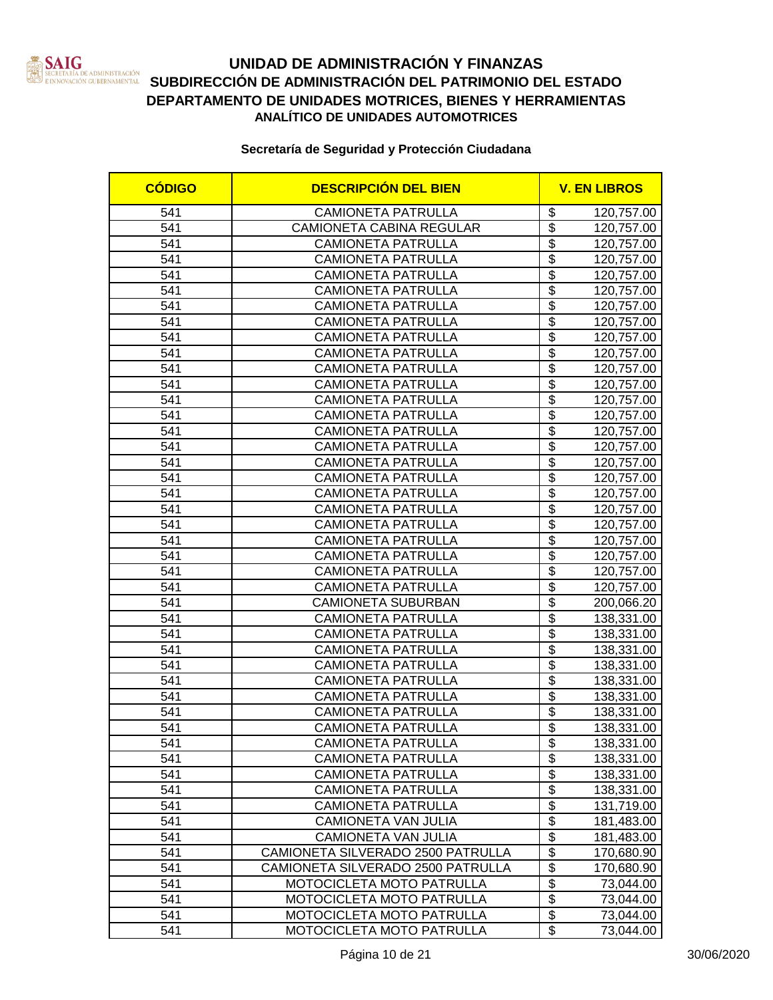

| <b>CÓDIGO</b> | <b>DESCRIPCIÓN DEL BIEN</b>       |                                      | <b>V. EN LIBROS</b> |
|---------------|-----------------------------------|--------------------------------------|---------------------|
| 541           | <b>CAMIONETA PATRULLA</b>         | \$                                   | 120,757.00          |
| 541           | CAMIONETA CABINA REGULAR          | $\overline{\$}$                      | 120,757.00          |
| 541           | <b>CAMIONETA PATRULLA</b>         | $\overline{\$}$                      | 120,757.00          |
| 541           | <b>CAMIONETA PATRULLA</b>         | $\overline{\$}$                      | 120,757.00          |
| 541           | <b>CAMIONETA PATRULLA</b>         | $\overline{\$}$                      | 120,757.00          |
| 541           | <b>CAMIONETA PATRULLA</b>         | $\overline{\$}$                      | 120,757.00          |
| 541           | <b>CAMIONETA PATRULLA</b>         | $\overline{\$}$                      | 120,757.00          |
| 541           | <b>CAMIONETA PATRULLA</b>         | $\overline{\$}$                      | 120,757.00          |
| 541           | <b>CAMIONETA PATRULLA</b>         | $\overline{\$}$                      | 120,757.00          |
| 541           | <b>CAMIONETA PATRULLA</b>         | $\overline{\$}$                      | 120,757.00          |
| 541           | <b>CAMIONETA PATRULLA</b>         | $\overline{\$}$                      | 120,757.00          |
| 541           | <b>CAMIONETA PATRULLA</b>         | $\overline{\$}$                      | 120,757.00          |
| 541           | <b>CAMIONETA PATRULLA</b>         | $\overline{\mathbb{S}}$              | 120,757.00          |
| 541           | <b>CAMIONETA PATRULLA</b>         | $\overline{\$}$                      | 120,757.00          |
| 541           | <b>CAMIONETA PATRULLA</b>         | $\overline{\$}$                      | 120,757.00          |
| 541           | <b>CAMIONETA PATRULLA</b>         | $\overline{\$}$                      | 120,757.00          |
| 541           | <b>CAMIONETA PATRULLA</b>         | $\overline{\mathcal{S}}$             | 120,757.00          |
| 541           | <b>CAMIONETA PATRULLA</b>         | $\overline{\$}$                      | 120,757.00          |
| 541           | <b>CAMIONETA PATRULLA</b>         | $\overline{\mathcal{S}}$             | 120,757.00          |
| 541           | <b>CAMIONETA PATRULLA</b>         | $\overline{\mathcal{S}}$             | 120,757.00          |
| 541           | <b>CAMIONETA PATRULLA</b>         | $\overline{\mathcal{S}}$             | 120,757.00          |
| 541           | <b>CAMIONETA PATRULLA</b>         | $\overline{\mathcal{S}}$             | 120,757.00          |
| 541           | <b>CAMIONETA PATRULLA</b>         | $\overline{\$}$                      | 120,757.00          |
| 541           | <b>CAMIONETA PATRULLA</b>         | $\overline{\$}$                      | 120,757.00          |
| 541           | <b>CAMIONETA PATRULLA</b>         | $\overline{\$}$                      | 120,757.00          |
| 541           | <b>CAMIONETA SUBURBAN</b>         | $\overline{\$}$                      | 200,066.20          |
| 541           | <b>CAMIONETA PATRULLA</b>         | $\overline{\$}$                      | 138,331.00          |
| 541           | <b>CAMIONETA PATRULLA</b>         | $\overline{\$}$                      | 138,331.00          |
| 541           | <b>CAMIONETA PATRULLA</b>         | $\overline{\$}$                      | 138,331.00          |
| 541           | <b>CAMIONETA PATRULLA</b>         | $\overline{\$}$                      | 138,331.00          |
| 541           | <b>CAMIONETA PATRULLA</b>         | $\overline{\$}$                      | 138,331.00          |
| 541           | <b>CAMIONETA PATRULLA</b>         | $\overline{\$}$                      | 138,331.00          |
| 541           | <b>CAMIONETA PATRULLA</b>         | $\overline{\$}$                      | 138,331.00          |
| 541           | <b>CAMIONETA PATRULLA</b>         | $\overline{\boldsymbol{\mathsf{s}}}$ | 138,331.00          |
| 541           | CAMIONETA PATRULLA                | \$                                   | 138,331.00          |
| 541           | <b>CAMIONETA PATRULLA</b>         | $\overline{\mathbf{e}}$              | 138,331.00          |
| 541           | <b>CAMIONETA PATRULLA</b>         | \$                                   | 138,331.00          |
| 541           | <b>CAMIONETA PATRULLA</b>         | $\overline{\mathbf{e}}$              | 138,331.00          |
| 541           | <b>CAMIONETA PATRULLA</b>         | $\overline{\$}$                      | 131,719.00          |
| 541           | CAMIONETA VAN JULIA               | $\overline{\boldsymbol{\theta}}$     | 181,483.00          |
| 541           | <b>CAMIONETA VAN JULIA</b>        | $\overline{\mathbf{e}}$              | 181,483.00          |
| 541           | CAMIONETA SILVERADO 2500 PATRULLA | $\overline{\mathbf{e}}$              | 170,680.90          |
| 541           | CAMIONETA SILVERADO 2500 PATRULLA | $\overline{\mathbf{e}}$              | 170,680.90          |
| 541           | MOTOCICLETA MOTO PATRULLA         | $\overline{\mathfrak{s}}$            | 73,044.00           |
| 541           | MOTOCICLETA MOTO PATRULLA         | $\overline{\mathbf{S}}$              | 73,044.00           |
| 541           | MOTOCICLETA MOTO PATRULLA         | \$                                   | 73,044.00           |
| 541           | MOTOCICLETA MOTO PATRULLA         | $\overline{\mathcal{S}}$             | 73,044.00           |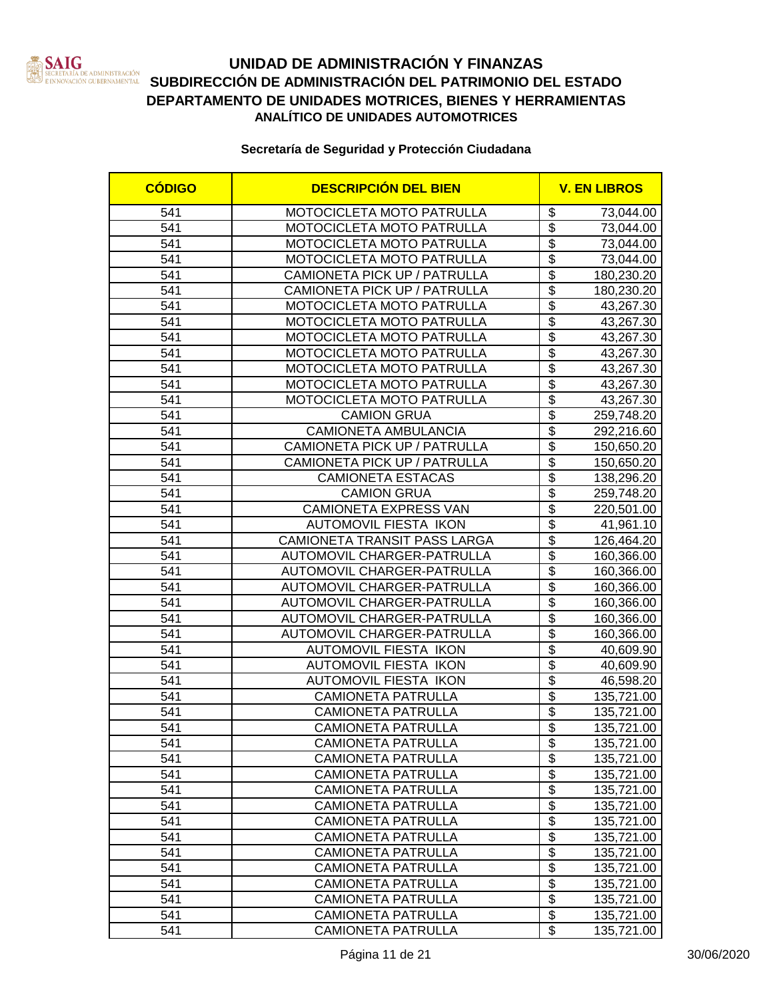

| <b>CÓDIGO</b>    | <b>DESCRIPCIÓN DEL BIEN</b>         |                                      | <b>V. EN LIBROS</b> |
|------------------|-------------------------------------|--------------------------------------|---------------------|
| 541              | MOTOCICLETA MOTO PATRULLA           | \$                                   | 73,044.00           |
| 541              | MOTOCICLETA MOTO PATRULLA           | $\overline{\$}$                      | 73,044.00           |
| 541              | MOTOCICLETA MOTO PATRULLA           | $\overline{\$}$                      | 73,044.00           |
| 541              | MOTOCICLETA MOTO PATRULLA           | $\overline{\$}$                      | 73,044.00           |
| 541              | CAMIONETA PICK UP / PATRULLA        | $\overline{\$}$                      | 180,230.20          |
| 541              | CAMIONETA PICK UP / PATRULLA        | \$                                   | 180,230.20          |
| 541              | MOTOCICLETA MOTO PATRULLA           | $\overline{\$}$                      | 43,267.30           |
| 541              | MOTOCICLETA MOTO PATRULLA           | $\overline{\$}$                      | 43,267.30           |
| 541              | MOTOCICLETA MOTO PATRULLA           | $\overline{\$}$                      | 43,267.30           |
| 541              | MOTOCICLETA MOTO PATRULLA           | $\overline{\$}$                      | 43,267.30           |
| 541              | MOTOCICLETA MOTO PATRULLA           | $\overline{\$}$                      | 43,267.30           |
| 541              | MOTOCICLETA MOTO PATRULLA           | $\overline{\$}$                      | 43,267.30           |
| 541              | MOTOCICLETA MOTO PATRULLA           | $\overline{\mathbb{S}}$              | 43,267.30           |
| 541              | <b>CAMION GRUA</b>                  | \$                                   | 259,748.20          |
| 541              | <b>CAMIONETA AMBULANCIA</b>         | \$                                   | 292,216.60          |
| 541              | CAMIONETA PICK UP / PATRULLA        | $\overline{\$}$                      | 150,650.20          |
| 541              | CAMIONETA PICK UP / PATRULLA        | $\overline{\$}$                      | 150,650.20          |
| 541              | <b>CAMIONETA ESTACAS</b>            | \$                                   | 138,296.20          |
| 541              | <b>CAMION GRUA</b>                  | \$                                   | 259,748.20          |
| 541              | <b>CAMIONETA EXPRESS VAN</b>        | \$                                   | 220,501.00          |
| 541              | AUTOMOVIL FIESTA IKON               | \$                                   | 41,961.10           |
| 541              | <b>CAMIONETA TRANSIT PASS LARGA</b> | $\overline{\$}$                      | 126,464.20          |
| 541              | AUTOMOVIL CHARGER-PATRULLA          | \$                                   | 160,366.00          |
| 541              | AUTOMOVIL CHARGER-PATRULLA          | $\overline{\mathcal{S}}$             | 160,366.00          |
| 541              | AUTOMOVIL CHARGER-PATRULLA          | \$                                   | 160,366.00          |
| 541              | AUTOMOVIL CHARGER-PATRULLA          | $\overline{\$}$                      | 160,366.00          |
| 541              | <b>AUTOMOVIL CHARGER-PATRULLA</b>   | $\overline{\$}$                      | 160,366.00          |
| 541              | AUTOMOVIL CHARGER-PATRULLA          | $\overline{\$}$                      | 160,366.00          |
| 541              | AUTOMOVIL FIESTA IKON               | $\overline{\$}$                      | 40,609.90           |
| 541              | <b>AUTOMOVIL FIESTA IKON</b>        | $\overline{\$}$                      | 40,609.90           |
| 541              | <b>AUTOMOVIL FIESTA IKON</b>        | $\overline{\$}$                      | 46,598.20           |
| 541              | <b>CAMIONETA PATRULLA</b>           | $\overline{\$}$                      | 135,721.00          |
| 541              | <b>CAMIONETA PATRULLA</b>           | $\overline{\$}$                      | 135,721.00          |
| 541              | <b>CAMIONETA PATRULLA</b>           | $\overline{\$}$                      | 135,721.00          |
| $\overline{541}$ | <b>CAMIONETA PATRULLA</b>           | $\overline{\mathcal{E}}$             | 135,721.00          |
| 541              | <b>CAMIONETA PATRULLA</b>           | \$                                   | 135,721.00          |
| 541              | <b>CAMIONETA PATRULLA</b>           | $\overline{\mathbf{S}}$              | 135,721.00          |
| 541              | <b>CAMIONETA PATRULLA</b>           | $\overline{\mathbf{S}}$              | 135,721.00          |
| 541              | <b>CAMIONETA PATRULLA</b>           | \$                                   | 135,721.00          |
| 541              | <b>CAMIONETA PATRULLA</b>           | $\overline{\boldsymbol{\mathsf{s}}}$ | 135,721.00          |
| 541              | <b>CAMIONETA PATRULLA</b>           | $\overline{\mathbf{e}}$              | 135,721.00          |
| 541              | <b>CAMIONETA PATRULLA</b>           | $\overline{\$}$                      | 135,721.00          |
| 541              | <b>CAMIONETA PATRULLA</b>           | $\overline{\mathbf{S}}$              | 135,721.00          |
| 541              | <b>CAMIONETA PATRULLA</b>           | $\overline{\mathfrak{s}}$            | 135,721.00          |
| 541              | <b>CAMIONETA PATRULLA</b>           | $\overline{\mathbf{S}}$              | 135,721.00          |
| 541              | <b>CAMIONETA PATRULLA</b>           | \$                                   | 135,721.00          |
| 541              | <b>CAMIONETA PATRULLA</b>           | \$                                   | 135,721.00          |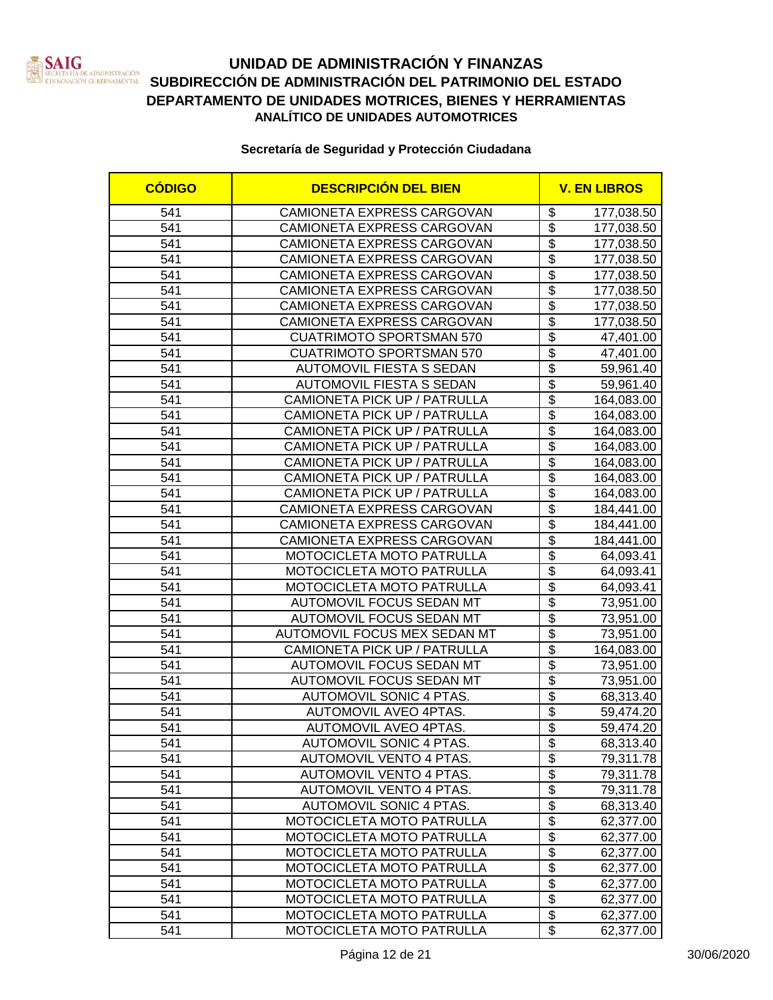

| <b>CÓDIGO</b> | <b>DESCRIPCIÓN DEL BIEN</b>       |                           | <b>V. EN LIBROS</b> |
|---------------|-----------------------------------|---------------------------|---------------------|
| 541           | CAMIONETA EXPRESS CARGOVAN        | \$                        | 177,038.50          |
| 541           | CAMIONETA EXPRESS CARGOVAN        | $\overline{\$}$           | 177,038.50          |
| 541           | CAMIONETA EXPRESS CARGOVAN        | $\overline{\$}$           | 177,038.50          |
| 541           | CAMIONETA EXPRESS CARGOVAN        | $\overline{\$}$           | 177,038.50          |
| 541           | CAMIONETA EXPRESS CARGOVAN        | $\overline{\$}$           | 177,038.50          |
| 541           | CAMIONETA EXPRESS CARGOVAN        | $\overline{\$}$           | 177,038.50          |
| 541           | CAMIONETA EXPRESS CARGOVAN        | $\overline{\$}$           | 177,038.50          |
| 541           | CAMIONETA EXPRESS CARGOVAN        | $\overline{\$}$           | 177,038.50          |
| 541           | <b>CUATRIMOTO SPORTSMAN 570</b>   | $\overline{\$}$           | 47,401.00           |
| 541           | <b>CUATRIMOTO SPORTSMAN 570</b>   | $\overline{\$}$           | 47,401.00           |
| 541           | <b>AUTOMOVIL FIESTA S SEDAN</b>   | $\overline{\$}$           | 59,961.40           |
| 541           | AUTOMOVIL FIESTA S SEDAN          | $\overline{\$}$           | 59,961.40           |
| 541           | CAMIONETA PICK UP / PATRULLA      | $\overline{\mathbb{S}}$   | 164,083.00          |
| 541           | CAMIONETA PICK UP / PATRULLA      | $\overline{\$}$           | 164,083.00          |
| 541           | CAMIONETA PICK UP / PATRULLA      | $\overline{\$}$           | 164,083.00          |
| 541           | CAMIONETA PICK UP / PATRULLA      | $\overline{\$}$           | 164,083.00          |
| 541           | CAMIONETA PICK UP / PATRULLA      | $\overline{\mathcal{S}}$  | 164,083.00          |
| 541           | CAMIONETA PICK UP / PATRULLA      | $\overline{\$}$           | 164,083.00          |
| 541           | CAMIONETA PICK UP / PATRULLA      | $\overline{\mathcal{S}}$  | 164,083.00          |
| 541           | <b>CAMIONETA EXPRESS CARGOVAN</b> | $\overline{\$}$           | 184,441.00          |
| 541           | CAMIONETA EXPRESS CARGOVAN        | $\overline{\mathcal{S}}$  | 184,441.00          |
| 541           | CAMIONETA EXPRESS CARGOVAN        | $\overline{\mathcal{S}}$  | 184,441.00          |
| 541           | MOTOCICLETA MOTO PATRULLA         | $\overline{\$}$           | 64,093.41           |
| 541           | MOTOCICLETA MOTO PATRULLA         | $\overline{\$}$           | 64,093.41           |
| 541           | MOTOCICLETA MOTO PATRULLA         | $\overline{\$}$           | 64,093.41           |
| 541           | AUTOMOVIL FOCUS SEDAN MT          | $\overline{\$}$           | 73,951.00           |
| 541           | <b>AUTOMOVIL FOCUS SEDAN MT</b>   | $\overline{\$}$           | 73,951.00           |
| 541           | AUTOMOVIL FOCUS MEX SEDAN MT      | $\overline{\$}$           | 73,951.00           |
| 541           | CAMIONETA PICK UP / PATRULLA      | $\overline{\$}$           | 164,083.00          |
| 541           | <b>AUTOMOVIL FOCUS SEDAN MT</b>   | $\overline{\$}$           | 73,951.00           |
| 541           | <b>AUTOMOVIL FOCUS SEDAN MT</b>   | $\overline{\$}$           | 73,951.00           |
| 541           | <b>AUTOMOVIL SONIC 4 PTAS.</b>    | $\overline{\$}$           | 68,313.40           |
| 541           | AUTOMOVIL AVEO 4PTAS.             | $\overline{\$}$           | 59,474.20           |
| 541           | <b>AUTOMOVIL AVEO 4PTAS.</b>      | $\overline{\$}$           | 59,474.20           |
| 541           | AUTOMOVIL SONIC 4 PTAS.           | \$                        | 68,313.40           |
| 541           | AUTOMOVIL VENTO 4 PTAS.           | $\overline{\mathbf{3}}$   | 79,311.78           |
| 541           | AUTOMOVIL VENTO 4 PTAS.           | \$                        | 79,311.78           |
| 541           | AUTOMOVIL VENTO 4 PTAS.           | $\overline{\mathcal{G}}$  | 79,311.78           |
| 541           | <b>AUTOMOVIL SONIC 4 PTAS.</b>    | $\overline{\$}$           | 68,313.40           |
| 541           | MOTOCICLETA MOTO PATRULLA         | $\overline{\mathbf{S}}$   | 62,377.00           |
| 541           | MOTOCICLETA MOTO PATRULLA         | $\overline{\mathbf{S}}$   | 62,377.00           |
| 541           | MOTOCICLETA MOTO PATRULLA         | \$                        | 62,377.00           |
| 541           | MOTOCICLETA MOTO PATRULLA         | $\overline{\mathbf{S}}$   | 62,377.00           |
| 541           | MOTOCICLETA MOTO PATRULLA         | $\overline{\mathfrak{s}}$ | 62,377.00           |
| 541           | MOTOCICLETA MOTO PATRULLA         | $\overline{\mathbf{S}}$   | 62,377.00           |
| 541           | MOTOCICLETA MOTO PATRULLA         | \$                        | 62,377.00           |
| 541           | MOTOCICLETA MOTO PATRULLA         | \$                        | 62,377.00           |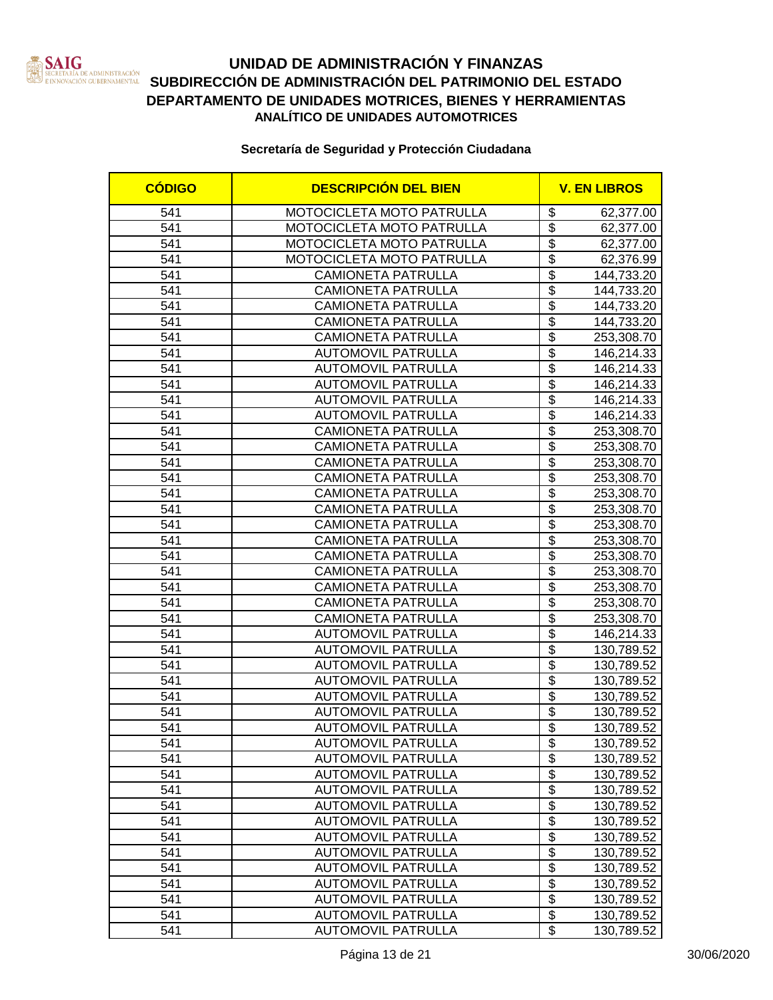

| <b>CÓDIGO</b> | <b>DESCRIPCIÓN DEL BIEN</b>      |                                      | <b>V. EN LIBROS</b> |  |
|---------------|----------------------------------|--------------------------------------|---------------------|--|
| 541           | <b>MOTOCICLETA MOTO PATRULLA</b> | \$                                   | 62,377.00           |  |
| 541           | MOTOCICLETA MOTO PATRULLA        | $\overline{\boldsymbol{\mathsf{s}}}$ | 62,377.00           |  |
| 541           | MOTOCICLETA MOTO PATRULLA        | $\overline{\mathbf{S}}$              | 62,377.00           |  |
| 541           | MOTOCICLETA MOTO PATRULLA        | $\overline{\$}$                      | 62,376.99           |  |
| 541           | <b>CAMIONETA PATRULLA</b>        | $\overline{\$}$                      | 144,733.20          |  |
| 541           | <b>CAMIONETA PATRULLA</b>        | $\overline{\$}$                      | 144,733.20          |  |
| 541           | <b>CAMIONETA PATRULLA</b>        | $\overline{\$}$                      | 144,733.20          |  |
| 541           | <b>CAMIONETA PATRULLA</b>        | $\overline{\$}$                      | 144,733.20          |  |
| 541           | <b>CAMIONETA PATRULLA</b>        | $\overline{\$}$                      | 253,308.70          |  |
| 541           | <b>AUTOMOVIL PATRULLA</b>        | $\overline{\$}$                      | 146,214.33          |  |
| 541           | <b>AUTOMOVIL PATRULLA</b>        | $\overline{\$}$                      | 146,214.33          |  |
| 541           | <b>AUTOMOVIL PATRULLA</b>        | $\overline{\$}$                      | 146,214.33          |  |
| 541           | <b>AUTOMOVIL PATRULLA</b>        | $\overline{\$}$                      | 146,214.33          |  |
| 541           | <b>AUTOMOVIL PATRULLA</b>        | $\overline{\$}$                      | 146,214.33          |  |
| 541           | <b>CAMIONETA PATRULLA</b>        | $\overline{\$}$                      | 253,308.70          |  |
| 541           | <b>CAMIONETA PATRULLA</b>        | $\overline{\mathcal{S}}$             | 253,308.70          |  |
| 541           | <b>CAMIONETA PATRULLA</b>        | $\overline{\mathcal{S}}$             | 253,308.70          |  |
| 541           | <b>CAMIONETA PATRULLA</b>        | $\overline{\mathcal{S}}$             | 253,308.70          |  |
| 541           | <b>CAMIONETA PATRULLA</b>        | $\overline{\mathfrak{s}}$            | 253,308.70          |  |
| 541           | <b>CAMIONETA PATRULLA</b>        | \$                                   | 253,308.70          |  |
| 541           | <b>CAMIONETA PATRULLA</b>        | $\overline{\mathbf{S}}$              | 253,308.70          |  |
| 541           | <b>CAMIONETA PATRULLA</b>        | $\overline{\$}$                      | 253,308.70          |  |
| 541           | <b>CAMIONETA PATRULLA</b>        | $\overline{\$}$                      | 253,308.70          |  |
| 541           | <b>CAMIONETA PATRULLA</b>        | $\overline{\mathcal{S}}$             | 253,308.70          |  |
| 541           | <b>CAMIONETA PATRULLA</b>        | $\overline{\$}$                      | 253,308.70          |  |
| 541           | <b>CAMIONETA PATRULLA</b>        | $\overline{\$}$                      | 253,308.70          |  |
| 541           | <b>CAMIONETA PATRULLA</b>        | $\overline{\$}$                      | 253,308.70          |  |
| 541           | <b>AUTOMOVIL PATRULLA</b>        | $\overline{\$}$                      | 146,214.33          |  |
| 541           | <b>AUTOMOVIL PATRULLA</b>        | $\overline{\$}$                      | 130,789.52          |  |
| 541           | <b>AUTOMOVIL PATRULLA</b>        | $\overline{\$}$                      | 130,789.52          |  |
| 541           | <b>AUTOMOVIL PATRULLA</b>        | $\overline{\$}$                      | 130,789.52          |  |
| 541           | <b>AUTOMOVIL PATRULLA</b>        | $\overline{\$}$                      | 130,789.52          |  |
| 541           | <b>AUTOMOVIL PATRULLA</b>        | $\overline{\mathbf{S}}$              | 130,789.52          |  |
| 541           | <b>AUTOMOVIL PATRULLA</b>        | $\overline{\$}$                      | 130,789.52          |  |
| 541           | AUTOMOVIL PATRULLA               | \$                                   | 130,789.52          |  |
| 541           | <b>AUTOMOVIL PATRULLA</b>        | \$                                   | 130,789.52          |  |
| 541           | <b>AUTOMOVIL PATRULLA</b>        | \$                                   | 130,789.52          |  |
| 541           | <b>AUTOMOVIL PATRULLA</b>        | $\overline{\$}$                      | 130,789.52          |  |
| 541           | <b>AUTOMOVIL PATRULLA</b>        | $\overline{\$}$                      | 130,789.52          |  |
| 541           | <b>AUTOMOVIL PATRULLA</b>        | $\overline{\$}$                      | 130,789.52          |  |
| 541           | <b>AUTOMOVIL PATRULLA</b>        | $\overline{\mathbf{e}}$              | 130,789.52          |  |
| 541           | <b>AUTOMOVIL PATRULLA</b>        | $\overline{\mathbf{e}}$              | 130,789.52          |  |
| 541           | <b>AUTOMOVIL PATRULLA</b>        | $\overline{\mathfrak{s}}$            | 130,789.52          |  |
| 541           | <b>AUTOMOVIL PATRULLA</b>        | $\overline{\mathbf{S}}$              | 130,789.52          |  |
| 541           | <b>AUTOMOVIL PATRULLA</b>        | $\overline{\mathbf{e}}$              | 130,789.52          |  |
| 541           | <b>AUTOMOVIL PATRULLA</b>        | $\overline{\mathbf{e}}$              | 130,789.52          |  |
| 541           | <b>AUTOMOVIL PATRULLA</b>        | $\overline{\$}$                      | 130,789.52          |  |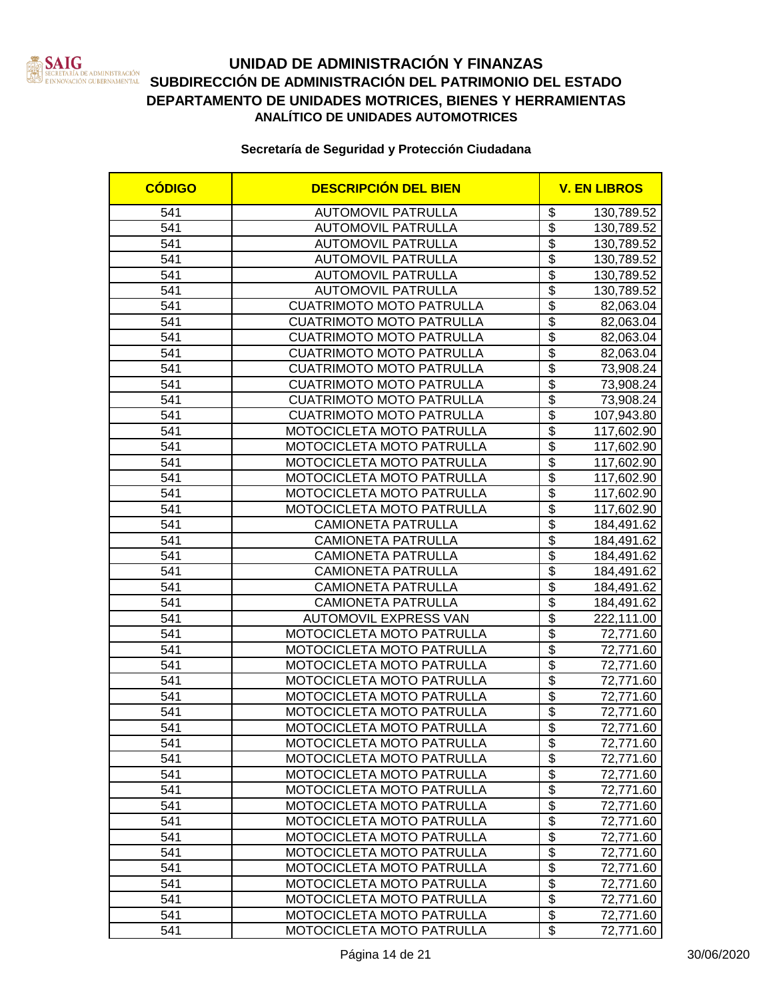

### **UNIDAD DE ADMINISTRACIÓN Y FINANZAS SECRETARÍA DE ADMINISTRACIÓN SUBDIRECCIÓN DE ADMINISTRACIÓN DEL PATRIMONIO DEL ESTADO DEPARTAMENTO DE UNIDADES MOTRICES, BIENES Y HERRAMIENTAS ANALÍTICO DE UNIDADES AUTOMOTRICES**

| 541<br><b>AUTOMOVIL PATRULLA</b><br>\$<br>130,789.52<br>\$<br>541<br><b>AUTOMOVIL PATRULLA</b><br>130,789.52<br>$\overline{\$}$<br>541<br><b>AUTOMOVIL PATRULLA</b><br>130,789.52<br>$\overline{\$}$<br>541<br><b>AUTOMOVIL PATRULLA</b><br>130,789.52<br>$\overline{\$}$<br>541<br><b>AUTOMOVIL PATRULLA</b><br>130,789.52<br>$\overline{\$}$<br><b>AUTOMOVIL PATRULLA</b><br>541<br>130,789.52<br>$\overline{\$}$<br>541<br><b>CUATRIMOTO MOTO PATRULLA</b><br>82,063.04<br>$\overline{\$}$<br><b>CUATRIMOTO MOTO PATRULLA</b><br>541<br>82,063.04<br>$\overline{\$}$<br>541<br><b>CUATRIMOTO MOTO PATRULLA</b><br>82,063.04<br>$\overline{\$}$<br>541<br><b>CUATRIMOTO MOTO PATRULLA</b><br>82,063.04<br>$\overline{\$}$<br>541<br>73,908.24<br><b>CUATRIMOTO MOTO PATRULLA</b><br>$\overline{\$}$<br>541<br><b>CUATRIMOTO MOTO PATRULLA</b><br>73,908.24<br>\$<br>541<br><b>CUATRIMOTO MOTO PATRULLA</b><br>73,908.24<br>$\overline{\$}$<br>541<br><b>CUATRIMOTO MOTO PATRULLA</b><br>107,943.80<br>\$<br>541<br>MOTOCICLETA MOTO PATRULLA<br>117,602.90<br>$\overline{\$}$<br>541<br>MOTOCICLETA MOTO PATRULLA<br>117,602.90<br>$\overline{\$}$<br>541<br>MOTOCICLETA MOTO PATRULLA<br>117,602.90<br>$\overline{\$}$<br>541<br>MOTOCICLETA MOTO PATRULLA<br>117,602.90<br>\$<br>541<br>MOTOCICLETA MOTO PATRULLA<br>117,602.90<br>$\overline{\$}$<br>541<br>MOTOCICLETA MOTO PATRULLA<br>117,602.90<br>$\overline{\$}$<br>541<br><b>CAMIONETA PATRULLA</b><br>184,491.62<br>$\overline{\$}$<br>541<br><b>CAMIONETA PATRULLA</b><br>184,491.62<br>$\overline{\mathcal{S}}$<br>541<br><b>CAMIONETA PATRULLA</b><br>184,491.62 | <b>CÓDIGO</b> | <b>DESCRIPCIÓN DEL BIEN</b> | <b>V. EN LIBROS</b> |
|----------------------------------------------------------------------------------------------------------------------------------------------------------------------------------------------------------------------------------------------------------------------------------------------------------------------------------------------------------------------------------------------------------------------------------------------------------------------------------------------------------------------------------------------------------------------------------------------------------------------------------------------------------------------------------------------------------------------------------------------------------------------------------------------------------------------------------------------------------------------------------------------------------------------------------------------------------------------------------------------------------------------------------------------------------------------------------------------------------------------------------------------------------------------------------------------------------------------------------------------------------------------------------------------------------------------------------------------------------------------------------------------------------------------------------------------------------------------------------------------------------------------------------------------------------------------------------------------------------------------------------|---------------|-----------------------------|---------------------|
|                                                                                                                                                                                                                                                                                                                                                                                                                                                                                                                                                                                                                                                                                                                                                                                                                                                                                                                                                                                                                                                                                                                                                                                                                                                                                                                                                                                                                                                                                                                                                                                                                                  |               |                             |                     |
|                                                                                                                                                                                                                                                                                                                                                                                                                                                                                                                                                                                                                                                                                                                                                                                                                                                                                                                                                                                                                                                                                                                                                                                                                                                                                                                                                                                                                                                                                                                                                                                                                                  |               |                             |                     |
|                                                                                                                                                                                                                                                                                                                                                                                                                                                                                                                                                                                                                                                                                                                                                                                                                                                                                                                                                                                                                                                                                                                                                                                                                                                                                                                                                                                                                                                                                                                                                                                                                                  |               |                             |                     |
|                                                                                                                                                                                                                                                                                                                                                                                                                                                                                                                                                                                                                                                                                                                                                                                                                                                                                                                                                                                                                                                                                                                                                                                                                                                                                                                                                                                                                                                                                                                                                                                                                                  |               |                             |                     |
|                                                                                                                                                                                                                                                                                                                                                                                                                                                                                                                                                                                                                                                                                                                                                                                                                                                                                                                                                                                                                                                                                                                                                                                                                                                                                                                                                                                                                                                                                                                                                                                                                                  |               |                             |                     |
|                                                                                                                                                                                                                                                                                                                                                                                                                                                                                                                                                                                                                                                                                                                                                                                                                                                                                                                                                                                                                                                                                                                                                                                                                                                                                                                                                                                                                                                                                                                                                                                                                                  |               |                             |                     |
|                                                                                                                                                                                                                                                                                                                                                                                                                                                                                                                                                                                                                                                                                                                                                                                                                                                                                                                                                                                                                                                                                                                                                                                                                                                                                                                                                                                                                                                                                                                                                                                                                                  |               |                             |                     |
|                                                                                                                                                                                                                                                                                                                                                                                                                                                                                                                                                                                                                                                                                                                                                                                                                                                                                                                                                                                                                                                                                                                                                                                                                                                                                                                                                                                                                                                                                                                                                                                                                                  |               |                             |                     |
|                                                                                                                                                                                                                                                                                                                                                                                                                                                                                                                                                                                                                                                                                                                                                                                                                                                                                                                                                                                                                                                                                                                                                                                                                                                                                                                                                                                                                                                                                                                                                                                                                                  |               |                             |                     |
|                                                                                                                                                                                                                                                                                                                                                                                                                                                                                                                                                                                                                                                                                                                                                                                                                                                                                                                                                                                                                                                                                                                                                                                                                                                                                                                                                                                                                                                                                                                                                                                                                                  |               |                             |                     |
|                                                                                                                                                                                                                                                                                                                                                                                                                                                                                                                                                                                                                                                                                                                                                                                                                                                                                                                                                                                                                                                                                                                                                                                                                                                                                                                                                                                                                                                                                                                                                                                                                                  |               |                             |                     |
|                                                                                                                                                                                                                                                                                                                                                                                                                                                                                                                                                                                                                                                                                                                                                                                                                                                                                                                                                                                                                                                                                                                                                                                                                                                                                                                                                                                                                                                                                                                                                                                                                                  |               |                             |                     |
|                                                                                                                                                                                                                                                                                                                                                                                                                                                                                                                                                                                                                                                                                                                                                                                                                                                                                                                                                                                                                                                                                                                                                                                                                                                                                                                                                                                                                                                                                                                                                                                                                                  |               |                             |                     |
|                                                                                                                                                                                                                                                                                                                                                                                                                                                                                                                                                                                                                                                                                                                                                                                                                                                                                                                                                                                                                                                                                                                                                                                                                                                                                                                                                                                                                                                                                                                                                                                                                                  |               |                             |                     |
|                                                                                                                                                                                                                                                                                                                                                                                                                                                                                                                                                                                                                                                                                                                                                                                                                                                                                                                                                                                                                                                                                                                                                                                                                                                                                                                                                                                                                                                                                                                                                                                                                                  |               |                             |                     |
|                                                                                                                                                                                                                                                                                                                                                                                                                                                                                                                                                                                                                                                                                                                                                                                                                                                                                                                                                                                                                                                                                                                                                                                                                                                                                                                                                                                                                                                                                                                                                                                                                                  |               |                             |                     |
|                                                                                                                                                                                                                                                                                                                                                                                                                                                                                                                                                                                                                                                                                                                                                                                                                                                                                                                                                                                                                                                                                                                                                                                                                                                                                                                                                                                                                                                                                                                                                                                                                                  |               |                             |                     |
|                                                                                                                                                                                                                                                                                                                                                                                                                                                                                                                                                                                                                                                                                                                                                                                                                                                                                                                                                                                                                                                                                                                                                                                                                                                                                                                                                                                                                                                                                                                                                                                                                                  |               |                             |                     |
|                                                                                                                                                                                                                                                                                                                                                                                                                                                                                                                                                                                                                                                                                                                                                                                                                                                                                                                                                                                                                                                                                                                                                                                                                                                                                                                                                                                                                                                                                                                                                                                                                                  |               |                             |                     |
|                                                                                                                                                                                                                                                                                                                                                                                                                                                                                                                                                                                                                                                                                                                                                                                                                                                                                                                                                                                                                                                                                                                                                                                                                                                                                                                                                                                                                                                                                                                                                                                                                                  |               |                             |                     |
|                                                                                                                                                                                                                                                                                                                                                                                                                                                                                                                                                                                                                                                                                                                                                                                                                                                                                                                                                                                                                                                                                                                                                                                                                                                                                                                                                                                                                                                                                                                                                                                                                                  |               |                             |                     |
|                                                                                                                                                                                                                                                                                                                                                                                                                                                                                                                                                                                                                                                                                                                                                                                                                                                                                                                                                                                                                                                                                                                                                                                                                                                                                                                                                                                                                                                                                                                                                                                                                                  |               |                             |                     |
|                                                                                                                                                                                                                                                                                                                                                                                                                                                                                                                                                                                                                                                                                                                                                                                                                                                                                                                                                                                                                                                                                                                                                                                                                                                                                                                                                                                                                                                                                                                                                                                                                                  |               |                             |                     |
|                                                                                                                                                                                                                                                                                                                                                                                                                                                                                                                                                                                                                                                                                                                                                                                                                                                                                                                                                                                                                                                                                                                                                                                                                                                                                                                                                                                                                                                                                                                                                                                                                                  | 541           | <b>CAMIONETA PATRULLA</b>   | \$<br>184,491.62    |
| $\overline{\$}$<br>541<br><b>CAMIONETA PATRULLA</b><br>184,491.62                                                                                                                                                                                                                                                                                                                                                                                                                                                                                                                                                                                                                                                                                                                                                                                                                                                                                                                                                                                                                                                                                                                                                                                                                                                                                                                                                                                                                                                                                                                                                                |               |                             |                     |
| $\overline{\$}$<br>541<br><b>CAMIONETA PATRULLA</b><br>184,491.62                                                                                                                                                                                                                                                                                                                                                                                                                                                                                                                                                                                                                                                                                                                                                                                                                                                                                                                                                                                                                                                                                                                                                                                                                                                                                                                                                                                                                                                                                                                                                                |               |                             |                     |
| $\overline{\$}$<br>541<br><b>AUTOMOVIL EXPRESS VAN</b><br>222,111.00                                                                                                                                                                                                                                                                                                                                                                                                                                                                                                                                                                                                                                                                                                                                                                                                                                                                                                                                                                                                                                                                                                                                                                                                                                                                                                                                                                                                                                                                                                                                                             |               |                             |                     |
| $\overline{\$}$<br>541<br>MOTOCICLETA MOTO PATRULLA<br>72,771.60                                                                                                                                                                                                                                                                                                                                                                                                                                                                                                                                                                                                                                                                                                                                                                                                                                                                                                                                                                                                                                                                                                                                                                                                                                                                                                                                                                                                                                                                                                                                                                 |               |                             |                     |
| $\overline{\$}$<br>541<br>MOTOCICLETA MOTO PATRULLA<br>72,771.60                                                                                                                                                                                                                                                                                                                                                                                                                                                                                                                                                                                                                                                                                                                                                                                                                                                                                                                                                                                                                                                                                                                                                                                                                                                                                                                                                                                                                                                                                                                                                                 |               |                             |                     |
| $\overline{\$}$<br>541<br>MOTOCICLETA MOTO PATRULLA<br>72,771.60                                                                                                                                                                                                                                                                                                                                                                                                                                                                                                                                                                                                                                                                                                                                                                                                                                                                                                                                                                                                                                                                                                                                                                                                                                                                                                                                                                                                                                                                                                                                                                 |               |                             |                     |
| $\overline{\$}$<br>541<br>MOTOCICLETA MOTO PATRULLA<br>72,771.60                                                                                                                                                                                                                                                                                                                                                                                                                                                                                                                                                                                                                                                                                                                                                                                                                                                                                                                                                                                                                                                                                                                                                                                                                                                                                                                                                                                                                                                                                                                                                                 |               |                             |                     |
| $\overline{\$}$<br>541<br>MOTOCICLETA MOTO PATRULLA<br>72,771.60                                                                                                                                                                                                                                                                                                                                                                                                                                                                                                                                                                                                                                                                                                                                                                                                                                                                                                                                                                                                                                                                                                                                                                                                                                                                                                                                                                                                                                                                                                                                                                 |               |                             |                     |
| $\overline{\$}$<br>541<br>MOTOCICLETA MOTO PATRULLA<br>72,771.60                                                                                                                                                                                                                                                                                                                                                                                                                                                                                                                                                                                                                                                                                                                                                                                                                                                                                                                                                                                                                                                                                                                                                                                                                                                                                                                                                                                                                                                                                                                                                                 |               |                             |                     |
| $\overline{\$}$<br>541<br>MOTOCICLETA MOTO PATRULLA<br>72,771.60                                                                                                                                                                                                                                                                                                                                                                                                                                                                                                                                                                                                                                                                                                                                                                                                                                                                                                                                                                                                                                                                                                                                                                                                                                                                                                                                                                                                                                                                                                                                                                 |               |                             |                     |
| 541<br>MOTOCICLETA MOTO PATRULLA<br>\$<br>72,771.60                                                                                                                                                                                                                                                                                                                                                                                                                                                                                                                                                                                                                                                                                                                                                                                                                                                                                                                                                                                                                                                                                                                                                                                                                                                                                                                                                                                                                                                                                                                                                                              |               |                             |                     |
| $\overline{\mathbf{e}}$<br>541<br>MOTOCICLETA MOTO PATRULLA<br>72,771.60                                                                                                                                                                                                                                                                                                                                                                                                                                                                                                                                                                                                                                                                                                                                                                                                                                                                                                                                                                                                                                                                                                                                                                                                                                                                                                                                                                                                                                                                                                                                                         |               |                             |                     |
| $\overline{\$}$<br>541<br>MOTOCICLETA MOTO PATRULLA<br>72,771.60                                                                                                                                                                                                                                                                                                                                                                                                                                                                                                                                                                                                                                                                                                                                                                                                                                                                                                                                                                                                                                                                                                                                                                                                                                                                                                                                                                                                                                                                                                                                                                 |               |                             |                     |
| \$<br>541<br>MOTOCICLETA MOTO PATRULLA<br>72,771.60                                                                                                                                                                                                                                                                                                                                                                                                                                                                                                                                                                                                                                                                                                                                                                                                                                                                                                                                                                                                                                                                                                                                                                                                                                                                                                                                                                                                                                                                                                                                                                              |               |                             |                     |
| $\overline{\$}$<br>541<br>MOTOCICLETA MOTO PATRULLA<br>72,771.60                                                                                                                                                                                                                                                                                                                                                                                                                                                                                                                                                                                                                                                                                                                                                                                                                                                                                                                                                                                                                                                                                                                                                                                                                                                                                                                                                                                                                                                                                                                                                                 |               |                             |                     |
| $\overline{\mathbf{S}}$<br>541<br>MOTOCICLETA MOTO PATRULLA<br>72,771.60                                                                                                                                                                                                                                                                                                                                                                                                                                                                                                                                                                                                                                                                                                                                                                                                                                                                                                                                                                                                                                                                                                                                                                                                                                                                                                                                                                                                                                                                                                                                                         |               |                             |                     |
| $\overline{\mathbf{e}}$<br>541<br>MOTOCICLETA MOTO PATRULLA<br>72,771.60                                                                                                                                                                                                                                                                                                                                                                                                                                                                                                                                                                                                                                                                                                                                                                                                                                                                                                                                                                                                                                                                                                                                                                                                                                                                                                                                                                                                                                                                                                                                                         |               |                             |                     |
| $\overline{\mathfrak{s}}$<br>541<br>MOTOCICLETA MOTO PATRULLA<br>72,771.60                                                                                                                                                                                                                                                                                                                                                                                                                                                                                                                                                                                                                                                                                                                                                                                                                                                                                                                                                                                                                                                                                                                                                                                                                                                                                                                                                                                                                                                                                                                                                       |               |                             |                     |
| $\overline{\mathbf{e}}$<br>541<br>MOTOCICLETA MOTO PATRULLA<br>72,771.60                                                                                                                                                                                                                                                                                                                                                                                                                                                                                                                                                                                                                                                                                                                                                                                                                                                                                                                                                                                                                                                                                                                                                                                                                                                                                                                                                                                                                                                                                                                                                         |               |                             |                     |
| $\overline{\mathbf{e}}$<br>541<br>MOTOCICLETA MOTO PATRULLA<br>72,771.60<br>$\overline{\$}$<br>541<br>MOTOCICLETA MOTO PATRULLA                                                                                                                                                                                                                                                                                                                                                                                                                                                                                                                                                                                                                                                                                                                                                                                                                                                                                                                                                                                                                                                                                                                                                                                                                                                                                                                                                                                                                                                                                                  |               |                             |                     |
| 72,771.60<br>$\overline{\$}$<br>541<br>MOTOCICLETA MOTO PATRULLA<br>72,771.60                                                                                                                                                                                                                                                                                                                                                                                                                                                                                                                                                                                                                                                                                                                                                                                                                                                                                                                                                                                                                                                                                                                                                                                                                                                                                                                                                                                                                                                                                                                                                    |               |                             |                     |
| $\overline{\mathbf{S}}$<br>541<br>MOTOCICLETA MOTO PATRULLA<br>72,771.60                                                                                                                                                                                                                                                                                                                                                                                                                                                                                                                                                                                                                                                                                                                                                                                                                                                                                                                                                                                                                                                                                                                                                                                                                                                                                                                                                                                                                                                                                                                                                         |               |                             |                     |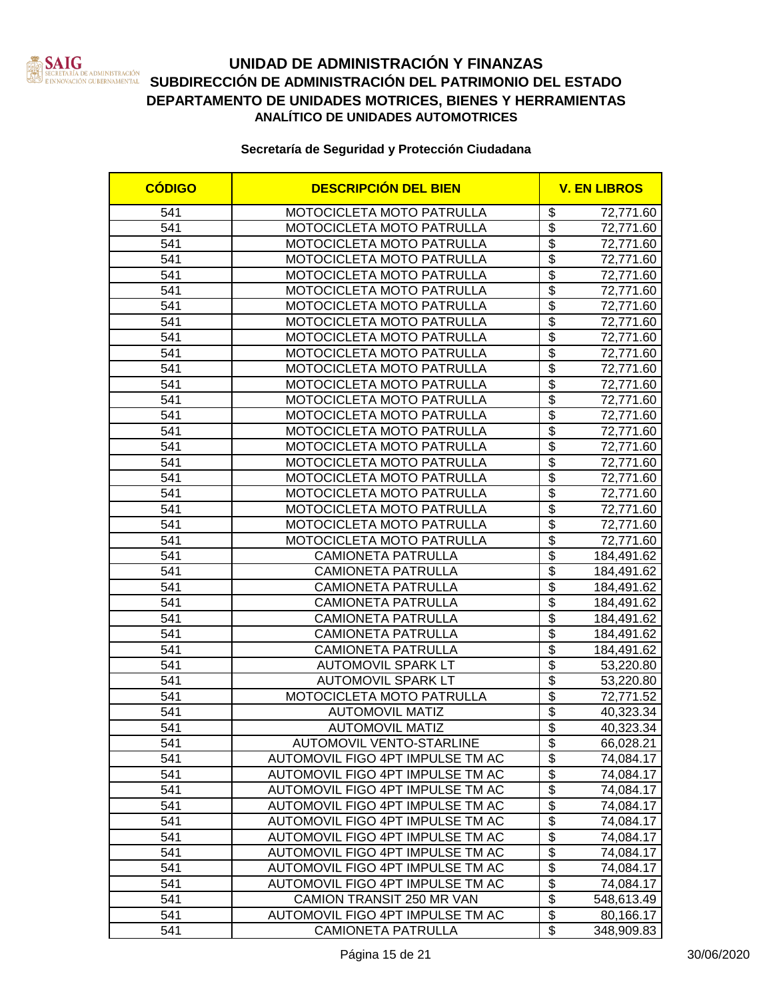

# **UNIDAD DE ADMINISTRACIÓN Y FINANZAS SAN SECRETARÍA DE ADMINISTRACIÓN DEL DEL ESTADO DEL ESTADO EN ENFORMADO DEL ESTADO EN ESTADO EN ESTADO EN ESTADO EN ESTADO EN ESTADO EN ESTADO EN ESTADO EN ESTADO EN ESTADO EN ESTADO EN ESTADO EN ESTADO EN ESTADO EN ESTAD DEPARTAMENTO DE UNIDADES MOTRICES, BIENES Y HERRAMIENTAS ANALÍTICO DE UNIDADES AUTOMOTRICES**

| <b>CÓDIGO</b> | <b>DESCRIPCIÓN DEL BIEN</b>      |                                  | <b>V. EN LIBROS</b> |
|---------------|----------------------------------|----------------------------------|---------------------|
| 541           | MOTOCICLETA MOTO PATRULLA        | \$                               | 72,771.60           |
| 541           | MOTOCICLETA MOTO PATRULLA        | $\overline{\$}$                  | 72,771.60           |
| 541           | MOTOCICLETA MOTO PATRULLA        | $\overline{\$}$                  | 72,771.60           |
| 541           | MOTOCICLETA MOTO PATRULLA        | $\overline{\$}$                  | 72,771.60           |
| 541           | MOTOCICLETA MOTO PATRULLA        | $\overline{\$}$                  | 72,771.60           |
| 541           | MOTOCICLETA MOTO PATRULLA        | $\overline{\$}$                  | 72,771.60           |
| 541           | MOTOCICLETA MOTO PATRULLA        | $\overline{\$}$                  | 72,771.60           |
| 541           | MOTOCICLETA MOTO PATRULLA        | $\overline{\$}$                  | 72,771.60           |
| 541           | MOTOCICLETA MOTO PATRULLA        | $\overline{\$}$                  | 72,771.60           |
| 541           | MOTOCICLETA MOTO PATRULLA        | $\overline{\$}$                  | 72,771.60           |
| 541           | MOTOCICLETA MOTO PATRULLA        | $\overline{\$}$                  | 72,771.60           |
| 541           | MOTOCICLETA MOTO PATRULLA        | $\overline{\$}$                  | 72,771.60           |
| 541           | MOTOCICLETA MOTO PATRULLA        | $\overline{\mathcal{S}}$         | 72,771.60           |
| 541           | MOTOCICLETA MOTO PATRULLA        | $\overline{\$}$                  | 72,771.60           |
| 541           | MOTOCICLETA MOTO PATRULLA        | \$                               | 72,771.60           |
| 541           | MOTOCICLETA MOTO PATRULLA        | $\overline{\$}$                  | 72,771.60           |
| 541           | MOTOCICLETA MOTO PATRULLA        | \$                               | 72,771.60           |
| 541           | MOTOCICLETA MOTO PATRULLA        | $\overline{\$}$                  | 72,771.60           |
| 541           | <b>MOTOCICLETA MOTO PATRULLA</b> | \$                               | 72,771.60           |
| 541           | MOTOCICLETA MOTO PATRULLA        | $\overline{\$}$                  | 72,771.60           |
| 541           | MOTOCICLETA MOTO PATRULLA        | $\overline{\mathcal{S}}$         | 72,771.60           |
| 541           | MOTOCICLETA MOTO PATRULLA        | $\overline{\$}$                  | 72,771.60           |
| 541           | <b>CAMIONETA PATRULLA</b>        | $\overline{\$}$                  | 184,491.62          |
| 541           | <b>CAMIONETA PATRULLA</b>        | $\overline{\$}$                  | 184,491.62          |
| 541           | <b>CAMIONETA PATRULLA</b>        | $\overline{\$}$                  | 184,491.62          |
| 541           | <b>CAMIONETA PATRULLA</b>        | $\overline{\$}$                  | 184,491.62          |
| 541           | CAMIONETA PATRULLA               | $\overline{\$}$                  | 184,491.62          |
| 541           | <b>CAMIONETA PATRULLA</b>        | $\overline{\$}$                  | 184,491.62          |
| 541           | <b>CAMIONETA PATRULLA</b>        | $\overline{\$}$                  | 184,491.62          |
| 541           | <b>AUTOMOVIL SPARK LT</b>        | $\overline{\$}$                  | 53,220.80           |
| 541           | <b>AUTOMOVIL SPARK LT</b>        | $\overline{\$}$                  | 53,220.80           |
| 541           | MOTOCICLETA MOTO PATRULLA        | $\overline{\$}$                  | 72,771.52           |
| 541           | <b>AUTOMOVIL MATIZ</b>           | $\overline{\$}$                  | 40,323.34           |
| 541           | <b>AUTOMOVIL MATIZ</b>           | $\overline{\$}$                  | 40,323.34           |
| 541           | AUTOMOVIL VENTO-STARLINE         | \$                               | 66,028.21           |
| 541           | AUTOMOVIL FIGO 4PT IMPULSE TM AC | \$                               | 74,084.17           |
| 541           | AUTOMOVIL FIGO 4PT IMPULSE TM AC | \$                               | 74,084.17           |
| 541           | AUTOMOVIL FIGO 4PT IMPULSE TM AC | $\overline{\mathbf{e}}$          | 74,084.17           |
| 541           | AUTOMOVIL FIGO 4PT IMPULSE TM AC | $\overline{\$}$                  | 74,084.17           |
| 541           | AUTOMOVIL FIGO 4PT IMPULSE TM AC | $\overline{\boldsymbol{\theta}}$ | 74,084.17           |
| 541           | AUTOMOVIL FIGO 4PT IMPULSE TM AC | \$                               | 74,084.17           |
| 541           | AUTOMOVIL FIGO 4PT IMPULSE TM AC | \$                               | 74,084.17           |
| 541           | AUTOMOVIL FIGO 4PT IMPULSE TM AC | $\overline{\boldsymbol{\theta}}$ | 74,084.17           |
| 541           | AUTOMOVIL FIGO 4PT IMPULSE TM AC | $\overline{\mathfrak{s}}$        | 74,084.17           |
| 541           | CAMION TRANSIT 250 MR VAN        | $\overline{\mathbf{S}}$          | 548,613.49          |
| 541           | AUTOMOVIL FIGO 4PT IMPULSE TM AC | \$                               | 80,166.17           |
| 541           | <b>CAMIONETA PATRULLA</b>        | \$                               | 348,909.83          |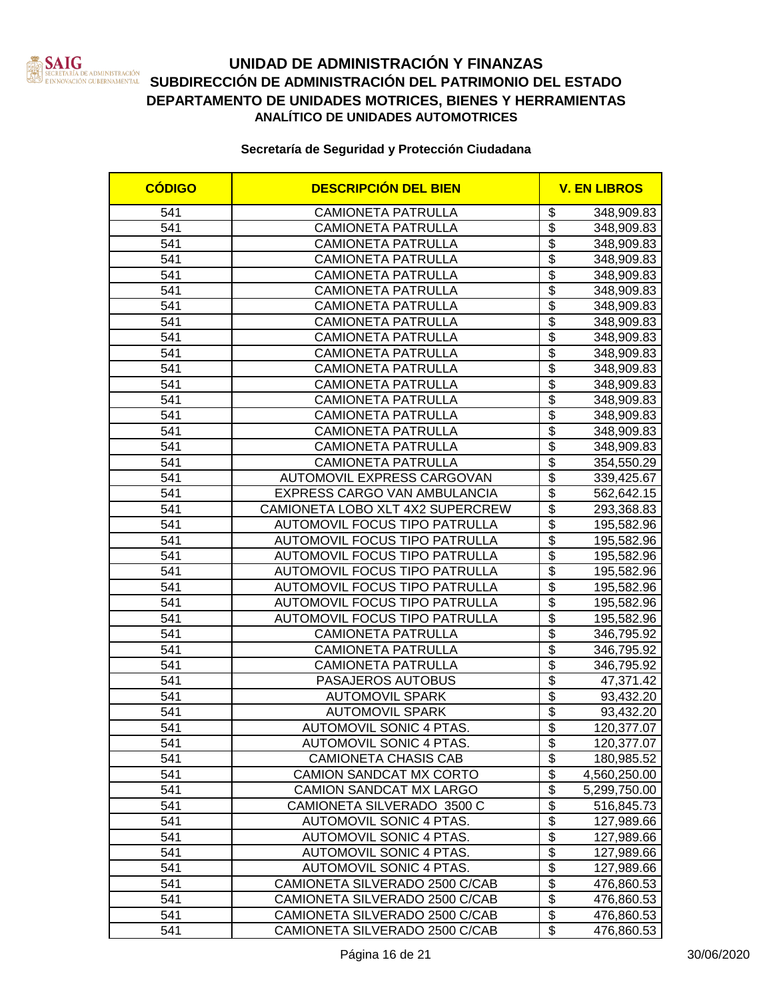

### **UNIDAD DE ADMINISTRACIÓN Y FINANZAS** SERETARIA DE ADMINISTRACIÓN<br>EINNOVACIÓN GUBERNAMENTAL SUBDIRECCIÓN DE ADMINISTRACIÓN DEL PATRIMONIO DEL ESTADO **DEPARTAMENTO DE UNIDADES MOTRICES, BIENES Y HERRAMIENTAS ANALÍTICO DE UNIDADES AUTOMOTRICES**

| <b>CÓDIGO</b>    | <b>DESCRIPCIÓN DEL BIEN</b>          |                                      | <b>V. EN LIBROS</b> |
|------------------|--------------------------------------|--------------------------------------|---------------------|
| 541              | <b>CAMIONETA PATRULLA</b>            | \$                                   | 348,909.83          |
| 541              | <b>CAMIONETA PATRULLA</b>            | $\overline{\boldsymbol{\mathsf{s}}}$ | 348,909.83          |
| 541              | <b>CAMIONETA PATRULLA</b>            | \$                                   | 348,909.83          |
| 541              | <b>CAMIONETA PATRULLA</b>            | $\overline{\$}$                      | 348,909.83          |
| 541              | <b>CAMIONETA PATRULLA</b>            | $\overline{\$}$                      | 348,909.83          |
| 541              | <b>CAMIONETA PATRULLA</b>            | $\overline{\$}$                      | 348,909.83          |
| 541              | <b>CAMIONETA PATRULLA</b>            | $\overline{\$}$                      | 348,909.83          |
| 541              | <b>CAMIONETA PATRULLA</b>            | $\overline{\$}$                      | 348,909.83          |
| $\overline{541}$ | <b>CAMIONETA PATRULLA</b>            | $\overline{\$}$                      | 348,909.83          |
| 541              | <b>CAMIONETA PATRULLA</b>            | $\overline{\$}$                      | 348,909.83          |
| 541              | <b>CAMIONETA PATRULLA</b>            | $\overline{\$}$                      | 348,909.83          |
| 541              | <b>CAMIONETA PATRULLA</b>            | $\overline{\$}$                      | 348,909.83          |
| 541              | <b>CAMIONETA PATRULLA</b>            | $\overline{\$}$                      | 348,909.83          |
| 541              | <b>CAMIONETA PATRULLA</b>            | $\overline{\$}$                      | 348,909.83          |
| 541              | <b>CAMIONETA PATRULLA</b>            | $\overline{\$}$                      | 348,909.83          |
| 541              | <b>CAMIONETA PATRULLA</b>            | \$                                   | 348,909.83          |
| 541              | <b>CAMIONETA PATRULLA</b>            | $\overline{\$}$                      | 354,550.29          |
| 541              | AUTOMOVIL EXPRESS CARGOVAN           | $\overline{\$}$                      | 339,425.67          |
| 541              | EXPRESS CARGO VAN AMBULANCIA         | \$                                   | 562,642.15          |
| 541              | CAMIONETA LOBO XLT 4X2 SUPERCREW     | \$                                   | 293,368.83          |
| 541              | AUTOMOVIL FOCUS TIPO PATRULLA        | $\overline{\mathfrak{s}}$            | 195,582.96          |
| 541              | AUTOMOVIL FOCUS TIPO PATRULLA        | $\overline{\$}$                      | 195,582.96          |
| 541              | <b>AUTOMOVIL FOCUS TIPO PATRULLA</b> | $\overline{\$}$                      | 195,582.96          |
| 541              | AUTOMOVIL FOCUS TIPO PATRULLA        | $\overline{\mathfrak{s}}$            | 195,582.96          |
| 541              | AUTOMOVIL FOCUS TIPO PATRULLA        | $\overline{\$}$                      | 195,582.96          |
| 541              | AUTOMOVIL FOCUS TIPO PATRULLA        | $\overline{\$}$                      | 195,582.96          |
| 541              | AUTOMOVIL FOCUS TIPO PATRULLA        | $\overline{\$}$                      | 195,582.96          |
| 541              | <b>CAMIONETA PATRULLA</b>            | $\overline{\$}$                      | 346,795.92          |
| 541              | <b>CAMIONETA PATRULLA</b>            | $\overline{\$}$                      | 346,795.92          |
| 541              | <b>CAMIONETA PATRULLA</b>            | $\overline{\$}$                      | 346,795.92          |
| 541              | PASAJEROS AUTOBUS                    | $\overline{\$}$                      | 47,371.42           |
| 541              | <b>AUTOMOVIL SPARK</b>               | $\overline{\$}$                      | 93,432.20           |
| 541              | <b>AUTOMOVIL SPARK</b>               | $\overline{\$}$                      | 93,432.20           |
| 541              | <b>AUTOMOVIL SONIC 4 PTAS.</b>       | $\overline{\$}$                      | 120,377.07          |
| 541              | AUTOMOVIL SONIC 4 PTAS.              | \$                                   | 120,377.07          |
| 541              | CAMIONETA CHASIS CAB                 | \$                                   | 180,985.52          |
| 541              | CAMION SANDCAT MX CORTO              | \$                                   | 4,560,250.00        |
| 541              | CAMION SANDCAT MX LARGO              | $\overline{\$}$                      | 5,299,750.00        |
| 541              | CAMIONETA SILVERADO 3500 C           | $\overline{\$}$                      | 516,845.73          |
| 541              | AUTOMOVIL SONIC 4 PTAS.              | $\overline{\$}$                      | 127,989.66          |
| 541              | AUTOMOVIL SONIC 4 PTAS.              | \$                                   | 127,989.66          |
| 541              | AUTOMOVIL SONIC 4 PTAS.              | $\overline{\boldsymbol{\theta}}$     | 127,989.66          |
| 541              | AUTOMOVIL SONIC 4 PTAS.              | \$                                   | 127,989.66          |
| 541              | CAMIONETA SILVERADO 2500 C/CAB       | $\overline{\mathbf{S}}$              | 476,860.53          |
| 541              | CAMIONETA SILVERADO 2500 C/CAB       | \$                                   | 476,860.53          |
| 541              | CAMIONETA SILVERADO 2500 C/CAB       | $\overline{\boldsymbol{\theta}}$     | 476,860.53          |
| 541              | CAMIONETA SILVERADO 2500 C/CAB       | $\overline{\mathcal{S}}$             | 476,860.53          |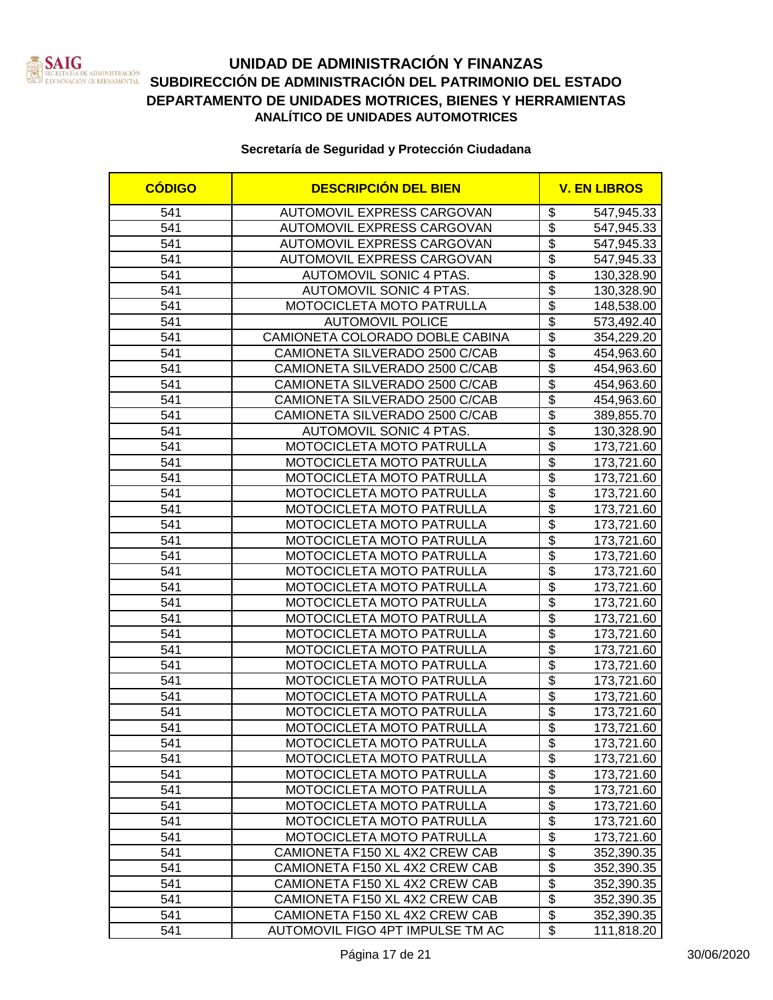

| <b>CÓDIGO</b> | <b>DESCRIPCIÓN DEL BIEN</b>      |                                  | <b>V. EN LIBROS</b> |
|---------------|----------------------------------|----------------------------------|---------------------|
| 541           | AUTOMOVIL EXPRESS CARGOVAN       | \$                               | 547,945.33          |
| 541           | AUTOMOVIL EXPRESS CARGOVAN       | $\overline{\mathbf{e}}$          | 547,945.33          |
| 541           | AUTOMOVIL EXPRESS CARGOVAN       | $\overline{\mathbf{S}}$          | 547,945.33          |
| 541           | AUTOMOVIL EXPRESS CARGOVAN       | $\overline{\$}$                  | 547,945.33          |
| 541           | AUTOMOVIL SONIC 4 PTAS.          | $\overline{\$}$                  | 130,328.90          |
| 541           | AUTOMOVIL SONIC 4 PTAS.          | $\overline{\$}$                  | 130,328.90          |
| 541           | MOTOCICLETA MOTO PATRULLA        | $\overline{\$}$                  | 148,538.00          |
| 541           | <b>AUTOMOVIL POLICE</b>          | $\overline{\$}$                  | 573,492.40          |
| 541           | CAMIONETA COLORADO DOBLE CABINA  | $\overline{\$}$                  | 354,229.20          |
| 541           | CAMIONETA SILVERADO 2500 C/CAB   | $\overline{\$}$                  | 454,963.60          |
| 541           | CAMIONETA SILVERADO 2500 C/CAB   | $\overline{\$}$                  | 454,963.60          |
| 541           | CAMIONETA SILVERADO 2500 C/CAB   | $\overline{\$}$                  | 454,963.60          |
| 541           | CAMIONETA SILVERADO 2500 C/CAB   | $\overline{\$}$                  | 454,963.60          |
| 541           | CAMIONETA SILVERADO 2500 C/CAB   | $\overline{\$}$                  | 389,855.70          |
| 541           | AUTOMOVIL SONIC 4 PTAS.          | $\overline{\$}$                  | 130,328.90          |
| 541           | MOTOCICLETA MOTO PATRULLA        | $\overline{\mathcal{S}}$         | 173,721.60          |
| 541           | MOTOCICLETA MOTO PATRULLA        | $\overline{\$}$                  | 173,721.60          |
| 541           | <b>MOTOCICLETA MOTO PATRULLA</b> | $\overline{\mathcal{S}}$         | 173,721.60          |
| 541           | MOTOCICLETA MOTO PATRULLA        | $\overline{\$}$                  | 173,721.60          |
| 541           | MOTOCICLETA MOTO PATRULLA        | $\overline{\mathbb{S}}$          | 173,721.60          |
| 541           | MOTOCICLETA MOTO PATRULLA        | $\overline{\mathcal{S}}$         | 173,721.60          |
| 541           | MOTOCICLETA MOTO PATRULLA        | $\overline{\$}$                  | 173,721.60          |
| 541           | MOTOCICLETA MOTO PATRULLA        | $\overline{\$}$                  | 173,721.60          |
| 541           | MOTOCICLETA MOTO PATRULLA        | $\overline{\mathcal{S}}$         | 173,721.60          |
| 541           | MOTOCICLETA MOTO PATRULLA        | $\overline{\$}$                  | 173,721.60          |
| 541           | MOTOCICLETA MOTO PATRULLA        | $\overline{\$}$                  | 173,721.60          |
| 541           | MOTOCICLETA MOTO PATRULLA        | $\overline{\$}$                  | 173,721.60          |
| 541           | MOTOCICLETA MOTO PATRULLA        | $\overline{\$}$                  | 173,721.60          |
| 541           | MOTOCICLETA MOTO PATRULLA        | $\overline{\$}$                  | 173,721.60          |
| 541           | MOTOCICLETA MOTO PATRULLA        | $\overline{\$}$                  | 173,721.60          |
| 541           | MOTOCICLETA MOTO PATRULLA        | $\overline{\$}$                  | 173,721.60          |
| 541           | MOTOCICLETA MOTO PATRULLA        | $\overline{\$}$                  | 173,721.60          |
| 541           | MOTOCICLETA MOTO PATRULLA        | $\overline{\$}$                  | 173,721.60          |
| 541           | MOTOCICLETA MOTO PATRULLA        | $\overline{\$}$                  | 173,721.60          |
| 541           | MOTOCICLETA MOTO PATRULLA        | \$                               | 173,721.60          |
| 541           | <b>MOTOCICLETA MOTO PATRULLA</b> | \$                               | 173,721.60          |
| 541           | MOTOCICLETA MOTO PATRULLA        | \$                               | 173,721.60          |
| 541           | MOTOCICLETA MOTO PATRULLA        | $\overline{\$}$                  | 173,721.60          |
| 541           | MOTOCICLETA MOTO PATRULLA        | $\overline{\mathbf{S}}$          | 173,721.60          |
| 541           | MOTOCICLETA MOTO PATRULLA        | $\overline{\mathcal{G}}$         | 173,721.60          |
| 541           | MOTOCICLETA MOTO PATRULLA        | \$                               | 173,721.60          |
| 541           | CAMIONETA F150 XL 4X2 CREW CAB   | $\overline{\boldsymbol{\theta}}$ | 352,390.35          |
| 541           | CAMIONETA F150 XL 4X2 CREW CAB   | \$                               | 352,390.35          |
| 541           | CAMIONETA F150 XL 4X2 CREW CAB   | $\overline{\mathbf{S}}$          | 352,390.35          |
| 541           | CAMIONETA F150 XL 4X2 CREW CAB   | \$                               | 352,390.35          |
| 541           | CAMIONETA F150 XL 4X2 CREW CAB   | $\overline{\mathcal{S}}$         | 352,390.35          |
| 541           | AUTOMOVIL FIGO 4PT IMPULSE TM AC | $\overline{\mathbb{S}}$          | 111,818.20          |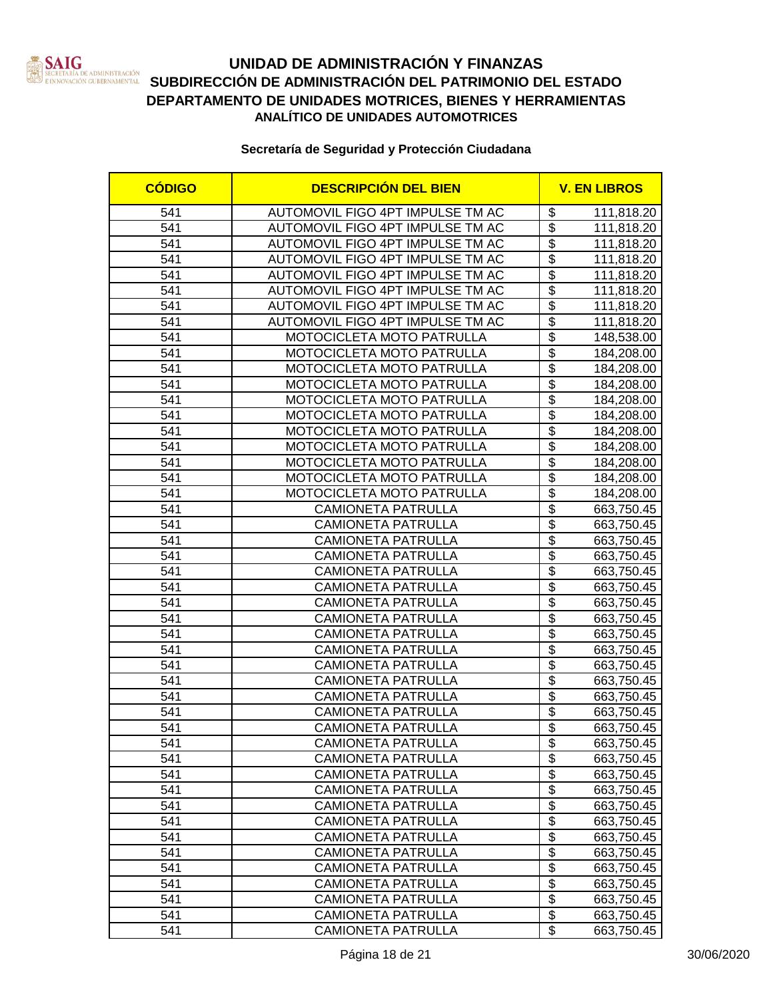

| <b>CÓDIGO</b> | <b>DESCRIPCIÓN DEL BIEN</b>      |                                      | <b>V. EN LIBROS</b> |  |
|---------------|----------------------------------|--------------------------------------|---------------------|--|
| 541           | AUTOMOVIL FIGO 4PT IMPULSE TM AC | \$                                   | 111,818.20          |  |
| 541           | AUTOMOVIL FIGO 4PT IMPULSE TM AC | $\overline{\mathbf{3}}$              | 111,818.20          |  |
| 541           | AUTOMOVIL FIGO 4PT IMPULSE TM AC | $\overline{\$}$                      | 111,818.20          |  |
| 541           | AUTOMOVIL FIGO 4PT IMPULSE TM AC | $\overline{\$}$                      | 111,818.20          |  |
| 541           | AUTOMOVIL FIGO 4PT IMPULSE TM AC | $\overline{\$}$                      | 111,818.20          |  |
| 541           | AUTOMOVIL FIGO 4PT IMPULSE TM AC | $\overline{\$}$                      | 111,818.20          |  |
| 541           | AUTOMOVIL FIGO 4PT IMPULSE TM AC | $\overline{\$}$                      | 111,818.20          |  |
| 541           | AUTOMOVIL FIGO 4PT IMPULSE TM AC | $\overline{\$}$                      | 111,818.20          |  |
| 541           | MOTOCICLETA MOTO PATRULLA        | $\overline{\boldsymbol{\mathsf{s}}}$ | 148,538.00          |  |
| 541           | MOTOCICLETA MOTO PATRULLA        | $\overline{\$}$                      | 184,208.00          |  |
| 541           | MOTOCICLETA MOTO PATRULLA        | $\overline{\$}$                      | 184,208.00          |  |
| 541           | MOTOCICLETA MOTO PATRULLA        | $\overline{\$}$                      | 184,208.00          |  |
| 541           | MOTOCICLETA MOTO PATRULLA        | $\overline{\mathbb{S}}$              | 184,208.00          |  |
| 541           | MOTOCICLETA MOTO PATRULLA        | $\overline{\$}$                      | 184,208.00          |  |
| 541           | MOTOCICLETA MOTO PATRULLA        | $\overline{\$}$                      | 184,208.00          |  |
| 541           | MOTOCICLETA MOTO PATRULLA        | $\overline{\$}$                      | 184,208.00          |  |
| 541           | MOTOCICLETA MOTO PATRULLA        | $\overline{\mathcal{S}}$             | 184,208.00          |  |
| 541           | MOTOCICLETA MOTO PATRULLA        | $\overline{\mathcal{S}}$             | 184,208.00          |  |
| 541           | MOTOCICLETA MOTO PATRULLA        | $\overline{\mathcal{S}}$             | 184,208.00          |  |
| 541           | <b>CAMIONETA PATRULLA</b>        | $\overline{\$}$                      | 663,750.45          |  |
| 541           | <b>CAMIONETA PATRULLA</b>        | \$                                   | 663,750.45          |  |
| 541           | <b>CAMIONETA PATRULLA</b>        | $\overline{\mathcal{S}}$             | 663,750.45          |  |
| 541           | <b>CAMIONETA PATRULLA</b>        | $\overline{\$}$                      | 663,750.45          |  |
| 541           | <b>CAMIONETA PATRULLA</b>        | $\overline{\$}$                      | 663,750.45          |  |
| 541           | <b>CAMIONETA PATRULLA</b>        | $\overline{\$}$                      | 663,750.45          |  |
| 541           | <b>CAMIONETA PATRULLA</b>        | $\overline{\$}$                      | 663,750.45          |  |
| 541           | <b>CAMIONETA PATRULLA</b>        | $\overline{\$}$                      | 663,750.45          |  |
| 541           | <b>CAMIONETA PATRULLA</b>        | $\overline{\$}$                      | 663,750.45          |  |
| 541           | <b>CAMIONETA PATRULLA</b>        | $\overline{\$}$                      | 663,750.45          |  |
| 541           | <b>CAMIONETA PATRULLA</b>        | $\overline{\$}$                      | 663,750.45          |  |
| 541           | <b>CAMIONETA PATRULLA</b>        | $\overline{\$}$                      | 663,750.45          |  |
| 541           | <b>CAMIONETA PATRULLA</b>        | $\overline{\$}$                      | 663,750.45          |  |
| 541           | <b>CAMIONETA PATRULLA</b>        | $\overline{\$}$                      | 663,750.45          |  |
| 541           | <b>CAMIONETA PATRULLA</b>        | $\overline{\boldsymbol{\mathsf{s}}}$ | 663,750.45          |  |
| 541           | CAMIONETA PATRULLA               | \$                                   | 663,750.45          |  |
| 541           | <b>CAMIONETA PATRULLA</b>        | $\overline{\boldsymbol{\theta}}$     | 663,750.45          |  |
| 541           | <b>CAMIONETA PATRULLA</b>        | \$                                   | 663,750.45          |  |
| 541           | <b>CAMIONETA PATRULLA</b>        | $\overline{\boldsymbol{\theta}}$     | 663,750.45          |  |
| 541           | <b>CAMIONETA PATRULLA</b>        | $\overline{\$}$                      | 663,750.45          |  |
| 541           | <b>CAMIONETA PATRULLA</b>        | $\overline{\boldsymbol{\theta}}$     | 663,750.45          |  |
| 541           | <b>CAMIONETA PATRULLA</b>        | $\overline{\boldsymbol{\mathsf{s}}}$ | 663,750.45          |  |
| 541           | <b>CAMIONETA PATRULLA</b>        | $\overline{\boldsymbol{\mathsf{s}}}$ | 663,750.45          |  |
| 541           | <b>CAMIONETA PATRULLA</b>        | $\overline{\mathbf{S}}$              | 663,750.45          |  |
| 541           | <b>CAMIONETA PATRULLA</b>        | $\overline{\mathfrak{s}}$            | 663,750.45          |  |
| 541           | <b>CAMIONETA PATRULLA</b>        | $\overline{\mathbf{S}}$              | 663,750.45          |  |
| 541           | <b>CAMIONETA PATRULLA</b>        | \$                                   | 663,750.45          |  |
| 541           | <b>CAMIONETA PATRULLA</b>        | \$                                   | 663,750.45          |  |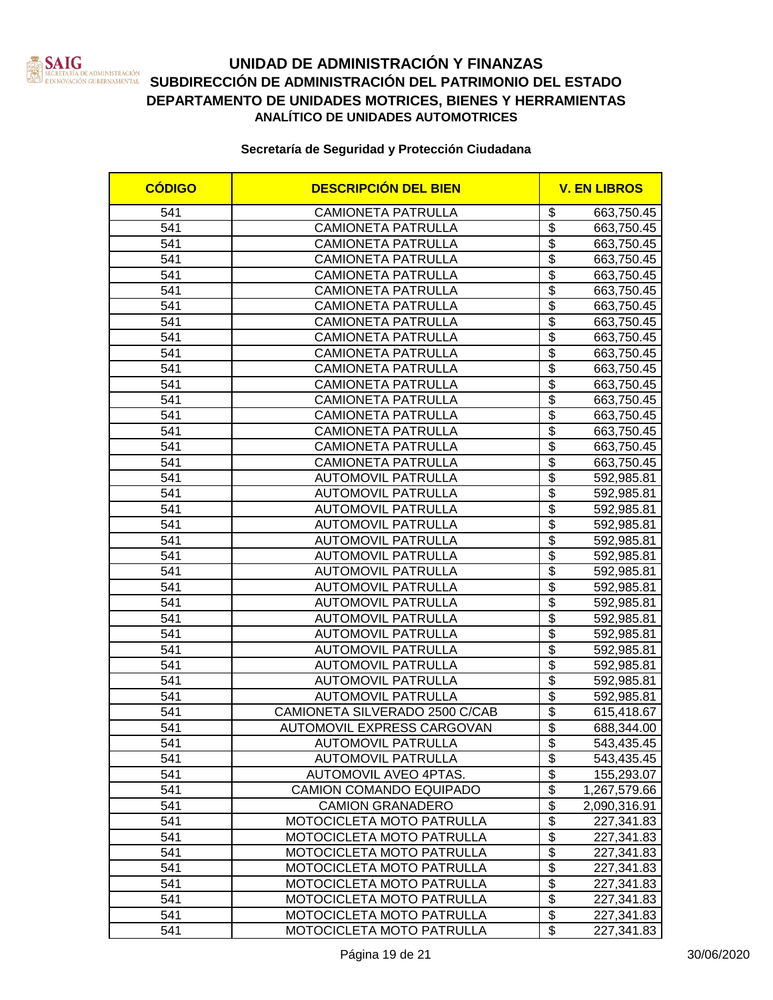

| <b>CÓDIGO</b>    | <b>DESCRIPCIÓN DEL BIEN</b>    |                                             | <b>V. EN LIBROS</b> |
|------------------|--------------------------------|---------------------------------------------|---------------------|
| 541              | <b>CAMIONETA PATRULLA</b>      | \$                                          | 663,750.45          |
| 541              | <b>CAMIONETA PATRULLA</b>      | $\overline{\boldsymbol{\mathsf{s}}}$        | 663,750.45          |
| 541              | <b>CAMIONETA PATRULLA</b>      | \$                                          | 663,750.45          |
| 541              | <b>CAMIONETA PATRULLA</b>      | $\overline{\$}$                             | 663,750.45          |
| 541              | <b>CAMIONETA PATRULLA</b>      | $\overline{\$}$                             | 663,750.45          |
| 541              | <b>CAMIONETA PATRULLA</b>      | $\overline{\$}$                             | 663,750.45          |
| 541              | <b>CAMIONETA PATRULLA</b>      | $\overline{\$}$                             | 663,750.45          |
| 541              | <b>CAMIONETA PATRULLA</b>      | $\overline{\$}$                             | 663,750.45          |
| $\overline{541}$ | <b>CAMIONETA PATRULLA</b>      | $\overline{\$}$                             | 663,750.45          |
| 541              | <b>CAMIONETA PATRULLA</b>      | $\overline{\$}$                             | 663,750.45          |
| 541              | <b>CAMIONETA PATRULLA</b>      | $\overline{\$}$                             | 663,750.45          |
| 541              | <b>CAMIONETA PATRULLA</b>      | $\overline{\$}$                             | 663,750.45          |
| 541              | <b>CAMIONETA PATRULLA</b>      | $\overline{\$}$                             | 663,750.45          |
| 541              | <b>CAMIONETA PATRULLA</b>      | \$                                          | 663,750.45          |
| 541              | <b>CAMIONETA PATRULLA</b>      | $\overline{\$}$                             | 663,750.45          |
| 541              | <b>CAMIONETA PATRULLA</b>      | \$                                          | 663,750.45          |
| 541              | <b>CAMIONETA PATRULLA</b>      | $\overline{\$}$                             | 663,750.45          |
| 541              | <b>AUTOMOVIL PATRULLA</b>      | $\overline{\$}$                             | 592,985.81          |
| 541              | <b>AUTOMOVIL PATRULLA</b>      | \$                                          | 592,985.81          |
| 541              | <b>AUTOMOVIL PATRULLA</b>      | \$                                          | 592,985.81          |
| 541              | <b>AUTOMOVIL PATRULLA</b>      | $\overline{\$}$                             | 592,985.81          |
| 541              | <b>AUTOMOVIL PATRULLA</b>      | $\overline{\$}$                             | 592,985.81          |
| 541              | <b>AUTOMOVIL PATRULLA</b>      | $\overline{\$}$                             | 592,985.81          |
| 541              | <b>AUTOMOVIL PATRULLA</b>      | \$                                          | 592,985.81          |
| 541              | <b>AUTOMOVIL PATRULLA</b>      | $\overline{\$}$                             | 592,985.81          |
| 541              | <b>AUTOMOVIL PATRULLA</b>      | $\overline{\$}$                             | 592,985.81          |
| 541              | <b>AUTOMOVIL PATRULLA</b>      | $\overline{\$}$                             | 592,985.81          |
| 541              | <b>AUTOMOVIL PATRULLA</b>      | $\overline{\$}$                             | 592,985.81          |
| 541              | <b>AUTOMOVIL PATRULLA</b>      | $\overline{\$}$                             | 592,985.81          |
| 541              | <b>AUTOMOVIL PATRULLA</b>      | $\overline{\$}$                             | 592,985.81          |
| 541              | <b>AUTOMOVIL PATRULLA</b>      | $\overline{\$}$                             | 592,985.81          |
| 541              | <b>AUTOMOVIL PATRULLA</b>      | $\overline{\$}$                             | 592,985.81          |
| 541              | CAMIONETA SILVERADO 2500 C/CAB | \$                                          | 615,418.67          |
| 541              | AUTOMOVIL EXPRESS CARGOVAN     | $\overline{\$}$                             | 688,344.00          |
| 541              | AUTOMOVIL PATRULLA             | \$                                          | 543,435.45          |
| 541              | <b>AUTOMOVIL PATRULLA</b>      | \$                                          | 543,435.45          |
| 541              | AUTOMOVIL AVEO 4PTAS.          | \$                                          | 155,293.07          |
| 541              | <b>CAMION COMANDO EQUIPADO</b> | $\overline{\$}$                             | 1,267,579.66        |
| 541              | <b>CAMION GRANADERO</b>        | $\overline{\$}$                             | 2,090,316.91        |
| 541              | MOTOCICLETA MOTO PATRULLA      | $\overline{\$}$                             | 227,341.83          |
| 541              | MOTOCICLETA MOTO PATRULLA      | \$                                          | 227,341.83          |
| 541              | MOTOCICLETA MOTO PATRULLA      | $\overline{\mathbf{e}}$                     | 227,341.83          |
| 541              | MOTOCICLETA MOTO PATRULLA      | \$                                          | 227,341.83          |
| 541              | MOTOCICLETA MOTO PATRULLA      | $\overline{\mathbf{S}}$                     | 227,341.83          |
| 541              | MOTOCICLETA MOTO PATRULLA      | \$                                          | 227,341.83          |
| 541              | MOTOCICLETA MOTO PATRULLA      | $\overline{\mathcal{S}}$<br>$\overline{\$}$ | 227,341.83          |
| 541              | MOTOCICLETA MOTO PATRULLA      |                                             | 227,341.83          |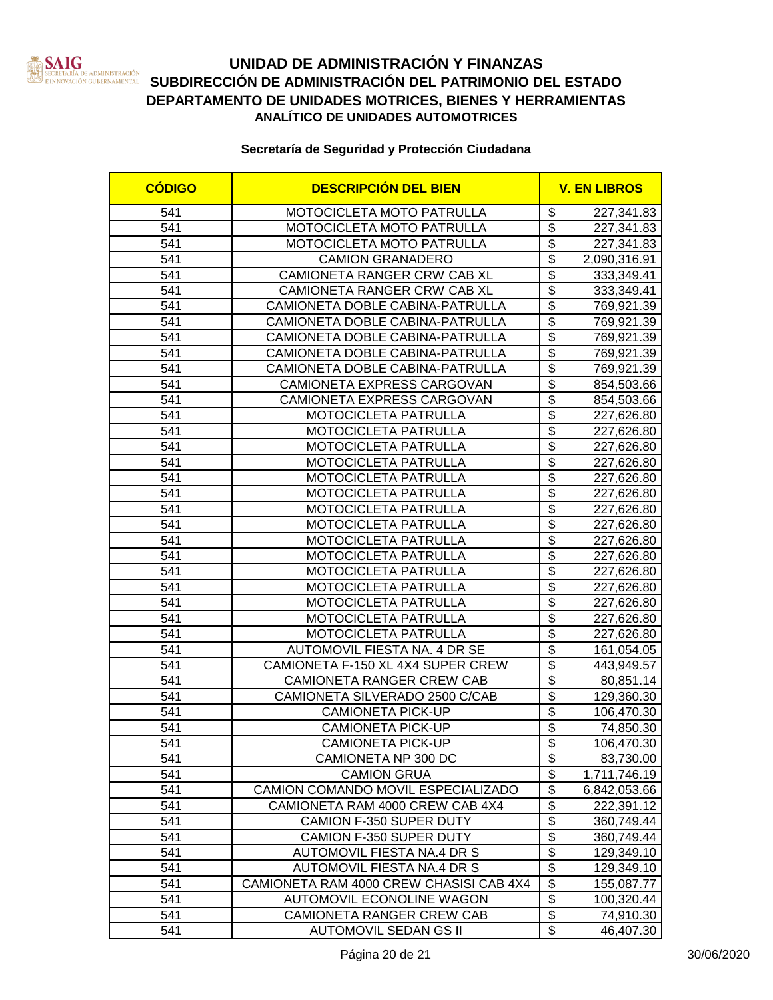

### **UNIDAD DE ADMINISTRACIÓN Y FINANZAS SAN SECRETARÍA DE ADMINISTRACIÓN DEL DEL ESTADO DEL ESTADO EN ENFORMADO DEL ESTADO EN ESTADO EN ESTADO EN ESTADO EN ESTADO EN ESTADO EN ESTADO EN ESTADO EN ESTADO EN ESTADO EN ESTADO EN ESTADO EN ESTADO EN ESTADO EN ESTAD DEPARTAMENTO DE UNIDADES MOTRICES, BIENES Y HERRAMIENTAS ANALÍTICO DE UNIDADES AUTOMOTRICES**

| <b>CÓDIGO</b> | <b>DESCRIPCIÓN DEL BIEN</b>             |                          | <b>V. EN LIBROS</b> |  |
|---------------|-----------------------------------------|--------------------------|---------------------|--|
| 541           | MOTOCICLETA MOTO PATRULLA               | \$                       | 227,341.83          |  |
| 541           | MOTOCICLETA MOTO PATRULLA               | $\overline{\$}$          | 227,341.83          |  |
| 541           | MOTOCICLETA MOTO PATRULLA               | \$                       | 227,341.83          |  |
| 541           | <b>CAMION GRANADERO</b>                 | $\overline{\$}$          | 2,090,316.91        |  |
| 541           | CAMIONETA RANGER CRW CAB XL             | $\overline{\$}$          | 333,349.41          |  |
| 541           | CAMIONETA RANGER CRW CAB XL             | $\overline{\$}$          | 333,349.41          |  |
| 541           | CAMIONETA DOBLE CABINA-PATRULLA         | $\overline{\$}$          | 769,921.39          |  |
| 541           | CAMIONETA DOBLE CABINA-PATRULLA         | $\overline{\$}$          | 769,921.39          |  |
| 541           | CAMIONETA DOBLE CABINA-PATRULLA         | $\overline{\$}$          | 769,921.39          |  |
| 541           | CAMIONETA DOBLE CABINA-PATRULLA         | $\overline{\$}$          | 769,921.39          |  |
| 541           | CAMIONETA DOBLE CABINA-PATRULLA         | $\overline{\$}$          | 769,921.39          |  |
| 541           | CAMIONETA EXPRESS CARGOVAN              | $\overline{\$}$          | 854,503.66          |  |
| 541           | CAMIONETA EXPRESS CARGOVAN              | $\overline{\mathcal{S}}$ | 854,503.66          |  |
| 541           | MOTOCICLETA PATRULLA                    | $\overline{\$}$          | 227,626.80          |  |
| 541           | MOTOCICLETA PATRULLA                    | $\overline{\$}$          | 227,626.80          |  |
| 541           | MOTOCICLETA PATRULLA                    | $\overline{\$}$          | 227,626.80          |  |
| 541           | MOTOCICLETA PATRULLA                    | $\overline{\mathcal{S}}$ | 227,626.80          |  |
| 541           | MOTOCICLETA PATRULLA                    | $\overline{\$}$          | 227,626.80          |  |
| 541           | <b>MOTOCICLETA PATRULLA</b>             | $\overline{\$}$          | 227,626.80          |  |
| 541           | MOTOCICLETA PATRULLA                    | $\overline{\$}$          | 227,626.80          |  |
| 541           | MOTOCICLETA PATRULLA                    | \$                       | 227,626.80          |  |
| 541           | MOTOCICLETA PATRULLA                    | $\overline{\$}$          | 227,626.80          |  |
| 541           | MOTOCICLETA PATRULLA                    | $\overline{\$}$          | 227,626.80          |  |
| 541           | MOTOCICLETA PATRULLA                    | $\overline{\$}$          | 227,626.80          |  |
| 541           | MOTOCICLETA PATRULLA                    | $\overline{\$}$          | 227,626.80          |  |
| 541           | MOTOCICLETA PATRULLA                    | $\overline{\$}$          | 227,626.80          |  |
| 541           | MOTOCICLETA PATRULLA                    | $\overline{\$}$          | 227,626.80          |  |
| 541           | MOTOCICLETA PATRULLA                    | $\overline{\$}$          | 227,626.80          |  |
| 541           | AUTOMOVIL FIESTA NA. 4 DR SE            | $\overline{\$}$          | 161,054.05          |  |
| 541           | CAMIONETA F-150 XL 4X4 SUPER CREW       | $\overline{\$}$          | 443,949.57          |  |
| 541           | <b>CAMIONETA RANGER CREW CAB</b>        | $\overline{\$}$          | 80,851.14           |  |
| 541           | CAMIONETA SILVERADO 2500 C/CAB          | $\overline{\$}$          | 129,360.30          |  |
| 541           | <b>CAMIONETA PICK-UP</b>                | $\overline{\$}$          | 106,470.30          |  |
| 541           | <b>CAMIONETA PICK-UP</b>                | \$                       | 74,850.30           |  |
| 541           | CAMIONETA PICK-UP                       | \$                       | 106,470.30          |  |
| 541           | CAMIONETA NP 300 DC                     | \$                       | 83,730.00           |  |
| 541           | <b>CAMION GRUA</b>                      | \$                       | 1,711,746.19        |  |
| 541           | CAMION COMANDO MOVIL ESPECIALIZADO      | $\overline{\mathbf{e}}$  | 6,842,053.66        |  |
| 541           | CAMIONETA RAM 4000 CREW CAB 4X4         | $\overline{\$}$          | 222,391.12          |  |
| 541           | CAMION F-350 SUPER DUTY                 | $\overline{\$}$          | 360,749.44          |  |
| 541           | CAMION F-350 SUPER DUTY                 | $\overline{\mathbf{e}}$  | 360,749.44          |  |
| 541           | AUTOMOVIL FIESTA NA.4 DR S              | \$                       | 129,349.10          |  |
| 541           | AUTOMOVIL FIESTA NA.4 DR S              | $\overline{\mathbf{e}}$  | 129,349.10          |  |
| 541           | CAMIONETA RAM 4000 CREW CHASISI CAB 4X4 | $\overline{\$}$          | 155,087.77          |  |
| 541           | <b>AUTOMOVIL ECONOLINE WAGON</b>        | $\overline{\mathbf{S}}$  | 100,320.44          |  |
| 541           | CAMIONETA RANGER CREW CAB               | $\overline{\mathbf{e}}$  | 74,910.30           |  |
| 541           | <b>AUTOMOVIL SEDAN GS II</b>            | $\overline{\mathbf{e}}$  | 46,407.30           |  |